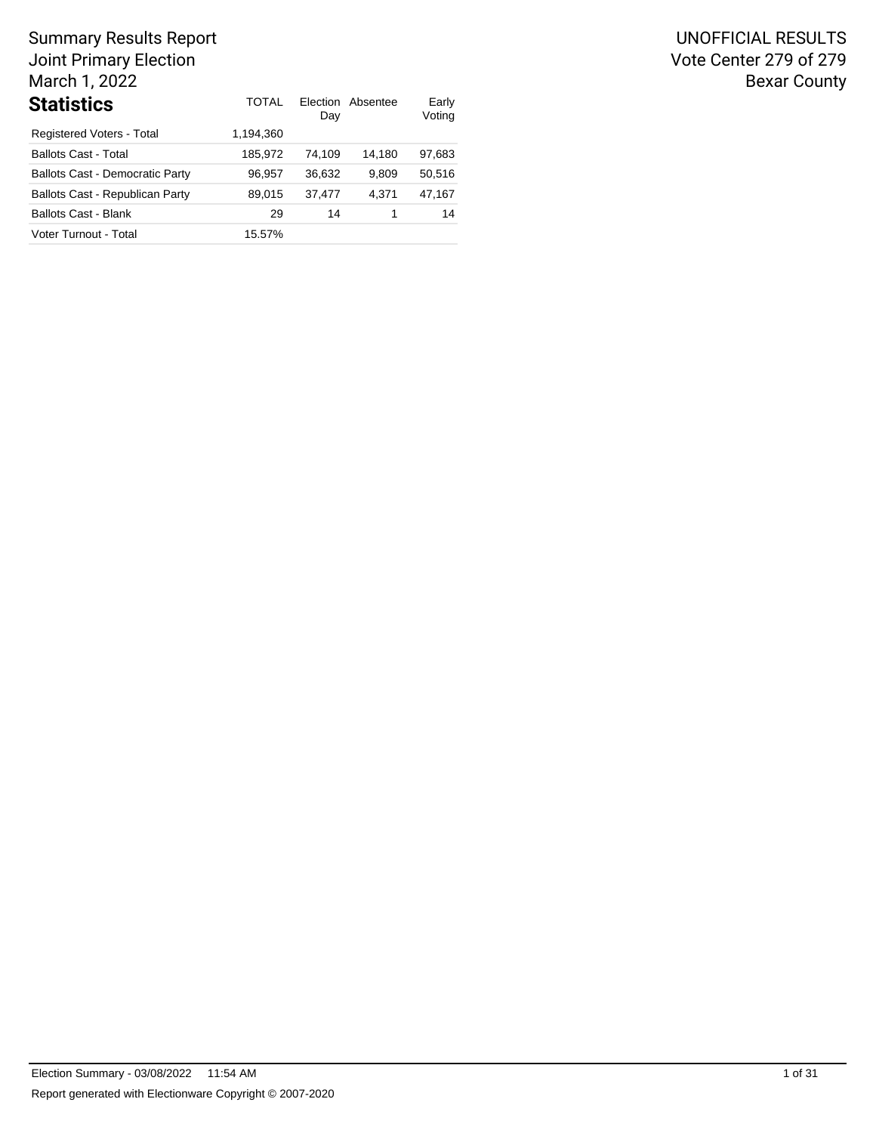| <b>Statistics</b>                      | TOTAI     | Day    | Election Absentee | Early<br>Voting |
|----------------------------------------|-----------|--------|-------------------|-----------------|
| Registered Voters - Total              | 1.194.360 |        |                   |                 |
| <b>Ballots Cast - Total</b>            | 185.972   | 74.109 | 14.180            | 97,683          |
| <b>Ballots Cast - Democratic Party</b> | 96.957    | 36.632 | 9.809             | 50.516          |
| Ballots Cast - Republican Party        | 89.015    | 37.477 | 4.371             | 47,167          |
| <b>Ballots Cast - Blank</b>            | 29        | 14     |                   | 14              |
| Voter Turnout - Total                  | 15.57%    |        |                   |                 |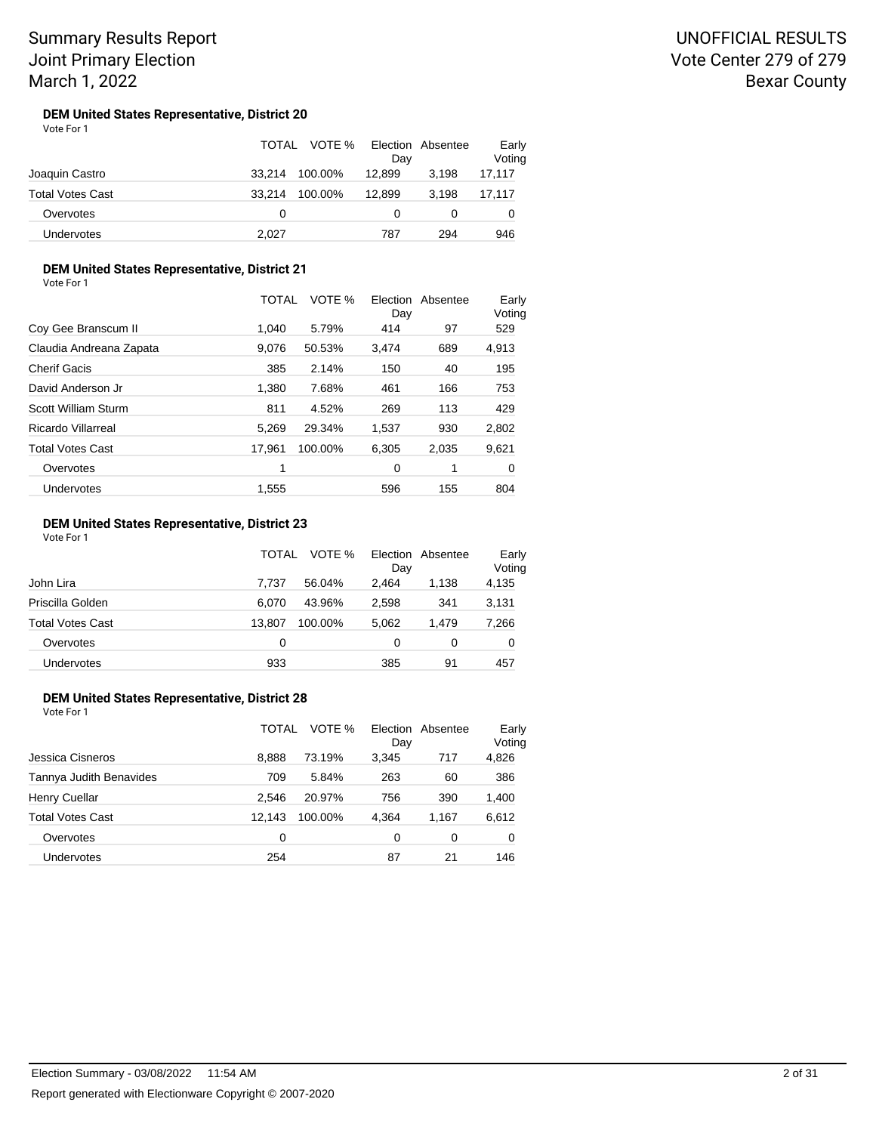#### **DEM United States Representative, District 20** Vote For 1

|                         | TOTAL  | VOTE %  | Day    | Election Absentee | Early<br>Voting |
|-------------------------|--------|---------|--------|-------------------|-----------------|
| Joaquin Castro          | 33.214 | 100.00% | 12.899 | 3.198             | 17,117          |
| <b>Total Votes Cast</b> | 33.214 | 100.00% | 12.899 | 3.198             | 17,117          |
| Overvotes               | 0      |         |        |                   |                 |
| <b>Undervotes</b>       | 2.027  |         | 787    | 294               | 946             |

## **DEM United States Representative, District 21**

Vote For 1

|                         | TOTAL  | VOTE %  | Election<br>Day | Absentee | Early<br>Voting |
|-------------------------|--------|---------|-----------------|----------|-----------------|
| Coy Gee Branscum II     | 1.040  | 5.79%   | 414             | 97       | 529             |
| Claudia Andreana Zapata | 9.076  | 50.53%  | 3.474           | 689      | 4,913           |
| <b>Cherif Gacis</b>     | 385    | 2.14%   | 150             | 40       | 195             |
| David Anderson Jr       | 1,380  | 7.68%   | 461             | 166      | 753             |
| Scott William Sturm     | 811    | 4.52%   | 269             | 113      | 429             |
| Ricardo Villarreal      | 5.269  | 29.34%  | 1,537           | 930      | 2,802           |
| <b>Total Votes Cast</b> | 17.961 | 100.00% | 6,305           | 2,035    | 9,621           |
| Overvotes               | 1      |         | 0               | 1        | 0               |
| Undervotes              | 1.555  |         | 596             | 155      | 804             |

#### **DEM United States Representative, District 23** Vote For 1

| 1 J J J J J J           | <b>TOTAL</b> | VOTE %  | Election<br>Day | Absentee | Early<br>Voting |
|-------------------------|--------------|---------|-----------------|----------|-----------------|
| John Lira               | 7.737        | 56.04%  | 2.464           | 1.138    | 4,135           |
| Priscilla Golden        | 6.070        | 43.96%  | 2,598           | 341      | 3,131           |
| <b>Total Votes Cast</b> | 13.807       | 100.00% | 5,062           | 1.479    | 7,266           |
| Overvotes               | 0            |         | 0               | 0        | 0               |
| Undervotes              | 933          |         | 385             | 91       | 457             |

### **DEM United States Representative, District 28**

|                         | <b>TOTAL</b> | VOTE %  | Election<br>Day | Absentee | Early<br>Voting |
|-------------------------|--------------|---------|-----------------|----------|-----------------|
| Jessica Cisneros        | 8.888        | 73.19%  | 3.345           | 717      | 4,826           |
| Tannya Judith Benavides | 709          | 5.84%   | 263             | 60       | 386             |
| <b>Henry Cuellar</b>    | 2.546        | 20.97%  | 756             | 390      | 1,400           |
| <b>Total Votes Cast</b> | 12.143       | 100.00% | 4,364           | 1.167    | 6,612           |
| Overvotes               | 0            |         | 0               | 0        | 0               |
| Undervotes              | 254          |         | 87              | 21       | 146             |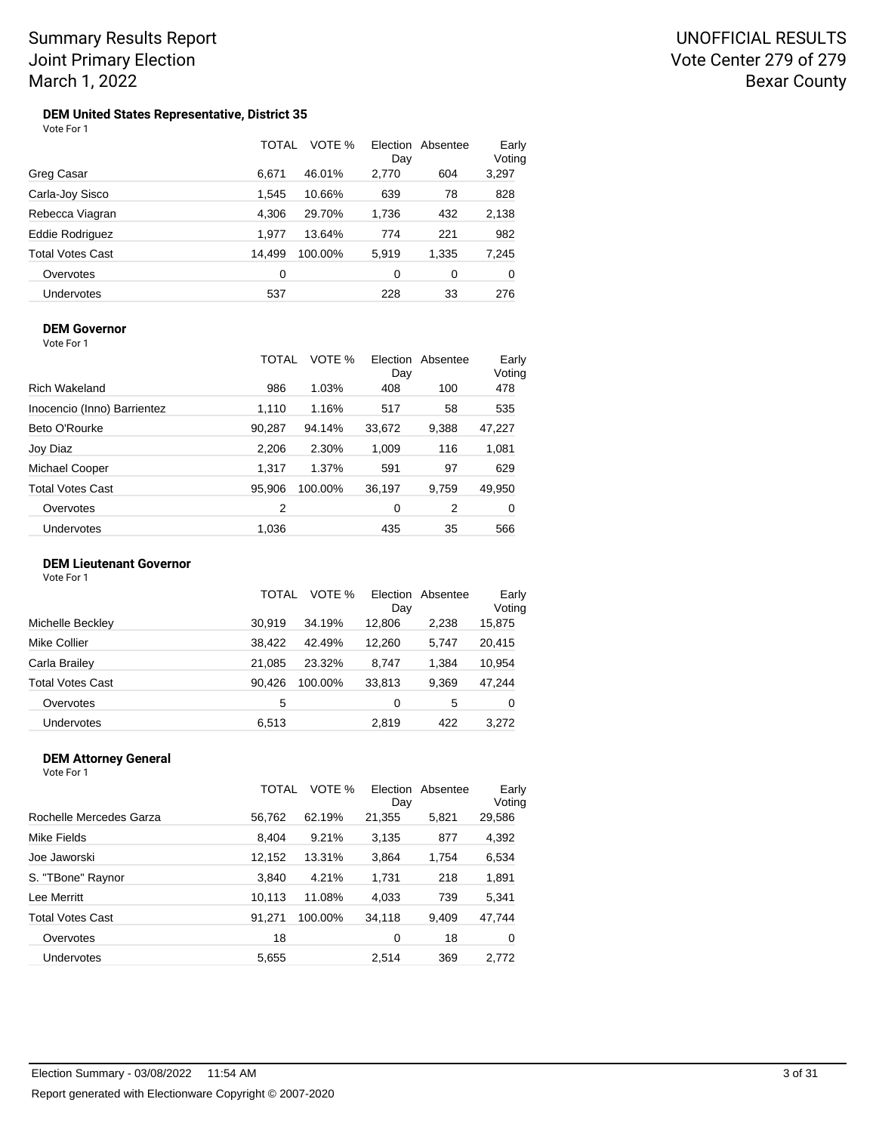#### **DEM United States Representative, District 35** Vote For 1

|                         | <b>TOTAL</b> | VOTE %  | Day   | Election Absentee | Early<br>Voting |
|-------------------------|--------------|---------|-------|-------------------|-----------------|
| Greg Casar              | 6.671        | 46.01%  | 2,770 | 604               | 3,297           |
| Carla-Joy Sisco         | 1,545        | 10.66%  | 639   | 78                | 828             |
| Rebecca Viagran         | 4.306        | 29.70%  | 1,736 | 432               | 2,138           |
| <b>Eddie Rodriguez</b>  | 1.977        | 13.64%  | 774   | 221               | 982             |
| <b>Total Votes Cast</b> | 14.499       | 100.00% | 5,919 | 1,335             | 7,245           |
| Overvotes               | 0            |         | 0     | 0                 | 0               |
| <b>Undervotes</b>       | 537          |         | 228   | 33                | 276             |

### **DEM Governor**

Vote For 1

|                             | TOTAL  | VOTE %  | Election<br>Day | Absentee | Early<br>Voting |
|-----------------------------|--------|---------|-----------------|----------|-----------------|
| <b>Rich Wakeland</b>        | 986    | 1.03%   | 408             | 100      | 478             |
| Inocencio (Inno) Barrientez | 1,110  | 1.16%   | 517             | 58       | 535             |
| Beto O'Rourke               | 90,287 | 94.14%  | 33,672          | 9,388    | 47,227          |
| Joy Diaz                    | 2,206  | 2.30%   | 1,009           | 116      | 1,081           |
| Michael Cooper              | 1.317  | 1.37%   | 591             | 97       | 629             |
| <b>Total Votes Cast</b>     | 95,906 | 100.00% | 36,197          | 9,759    | 49,950          |
| Overvotes                   | 2      |         | 0               | 2        | 0               |
| Undervotes                  | 1.036  |         | 435             | 35       | 566             |

### **DEM Lieutenant Governor**

| Vote For 1 |  |  |
|------------|--|--|
|------------|--|--|

|                         | TOTAL  | VOTE %  | Election<br>Day | Absentee | Early<br>Voting |  |
|-------------------------|--------|---------|-----------------|----------|-----------------|--|
| Michelle Beckley        | 30.919 | 34.19%  | 12,806          | 2,238    | 15,875          |  |
| Mike Collier            | 38.422 | 42.49%  | 12.260          | 5,747    | 20,415          |  |
| Carla Brailey           | 21.085 | 23.32%  | 8.747           | 1.384    | 10,954          |  |
| <b>Total Votes Cast</b> | 90.426 | 100.00% | 33,813          | 9,369    | 47,244          |  |
| Overvotes               | 5      |         | 0               | 5        | 0               |  |
| Undervotes              | 6.513  |         | 2.819           | 422      | 3.272           |  |

#### **DEM Attorney General** Vote For 1

|                         | TOTAL  | VOTE %  | Election<br>Day | Absentee | Early<br>Voting |
|-------------------------|--------|---------|-----------------|----------|-----------------|
| Rochelle Mercedes Garza | 56,762 | 62.19%  | 21,355          | 5,821    | 29,586          |
| Mike Fields             | 8,404  | 9.21%   | 3,135           | 877      | 4,392           |
| Joe Jaworski            | 12,152 | 13.31%  | 3,864           | 1,754    | 6,534           |
| S. "TBone" Raynor       | 3,840  | 4.21%   | 1,731           | 218      | 1,891           |
| Lee Merritt             | 10,113 | 11.08%  | 4,033           | 739      | 5,341           |
| <b>Total Votes Cast</b> | 91.271 | 100.00% | 34,118          | 9.409    | 47,744          |
| Overvotes               | 18     |         | 0               | 18       | 0               |
| Undervotes              | 5,655  |         | 2.514           | 369      | 2,772           |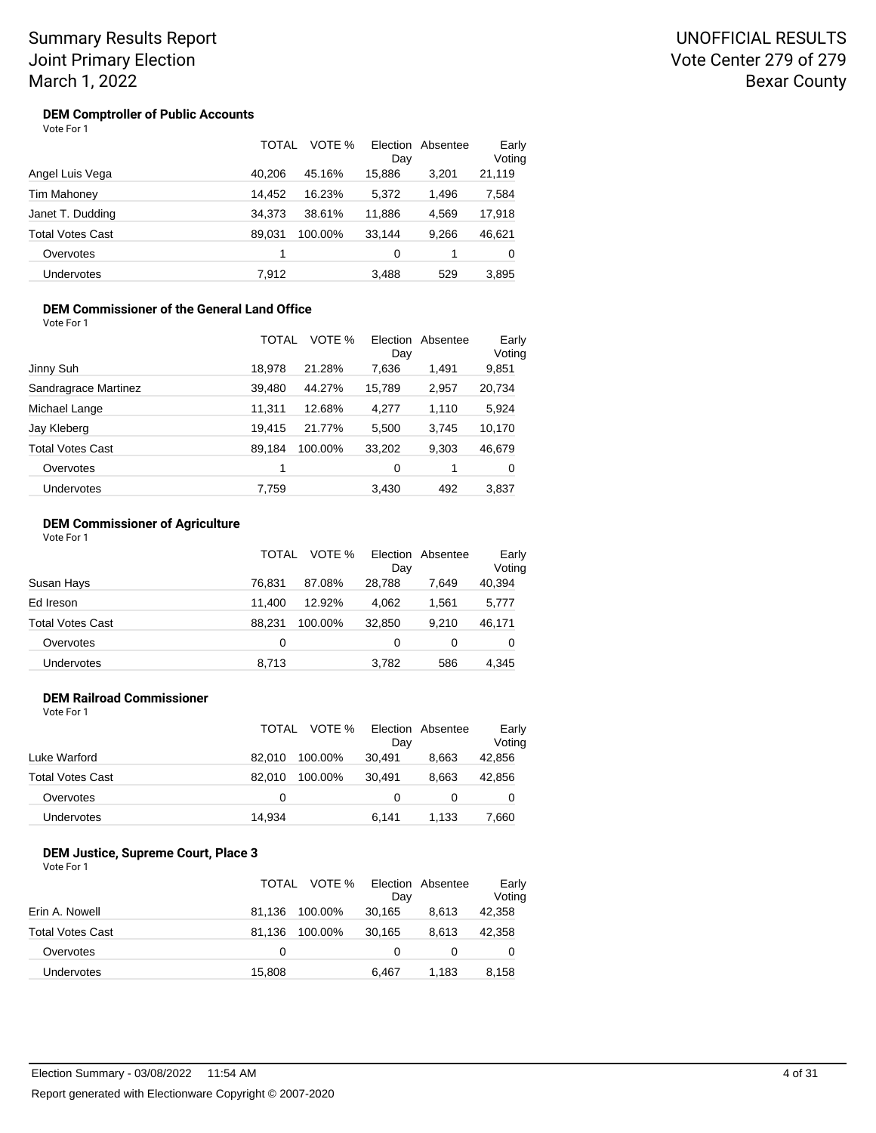## UNOFFICIAL RESULTS Vote Center 279 of 279 Bexar County

#### **DEM Comptroller of Public Accounts** Vote For 1

|                         | TOTAL  | VOTE %  | Day    | Election Absentee | Early<br>Voting |
|-------------------------|--------|---------|--------|-------------------|-----------------|
| Angel Luis Vega         | 40.206 | 45.16%  | 15,886 | 3.201             | 21,119          |
| <b>Tim Mahoney</b>      | 14,452 | 16.23%  | 5,372  | 1,496             | 7,584           |
| Janet T. Dudding        | 34.373 | 38.61%  | 11.886 | 4.569             | 17,918          |
| <b>Total Votes Cast</b> | 89.031 | 100.00% | 33.144 | 9.266             | 46,621          |
| Overvotes               | 1      |         | 0      |                   | 0               |
| <b>Undervotes</b>       | 7.912  |         | 3.488  | 529               | 3.895           |

#### **DEM Commissioner of the General Land Office** Vote For 1

|                         | TOTAL  | VOTE %  | Day    | Election Absentee | Early<br>Voting |
|-------------------------|--------|---------|--------|-------------------|-----------------|
| Jinny Suh               | 18,978 | 21.28%  | 7,636  | 1,491             | 9,851           |
| Sandragrace Martinez    | 39,480 | 44.27%  | 15,789 | 2,957             | 20,734          |
| Michael Lange           | 11,311 | 12.68%  | 4,277  | 1,110             | 5,924           |
| Jay Kleberg             | 19,415 | 21.77%  | 5,500  | 3.745             | 10,170          |
| <b>Total Votes Cast</b> | 89,184 | 100.00% | 33,202 | 9,303             | 46,679          |
| Overvotes               | 1      |         | 0      | 1                 | 0               |
| Undervotes              | 7,759  |         | 3,430  | 492               | 3,837           |

### **DEM Commissioner of Agriculture**

| Vote For 1 |  |
|------------|--|
|------------|--|

|                         | TOTAL  | VOTE %  | Election<br>Day | Absentee | Early<br>Voting |
|-------------------------|--------|---------|-----------------|----------|-----------------|
| Susan Hays              | 76.831 | 87.08%  | 28.788          | 7.649    | 40,394          |
| Ed Ireson               | 11.400 | 12.92%  | 4.062           | 1.561    | 5,777           |
| <b>Total Votes Cast</b> | 88.231 | 100.00% | 32.850          | 9.210    | 46,171          |
| Overvotes               | 0      |         | 0               | 0        | 0               |
| <b>Undervotes</b>       | 8,713  |         | 3,782           | 586      | 4,345           |

#### **DEM Railroad Commissioner**

|                  | TOTAL  | VOTE %  |        | Election Absentee | Early  |  |
|------------------|--------|---------|--------|-------------------|--------|--|
|                  |        |         | Dav    |                   | Voting |  |
| Luke Warford     | 82.010 | 100.00% | 30.491 | 8.663             | 42,856 |  |
| Total Votes Cast | 82.010 | 100.00% | 30.491 | 8.663             | 42,856 |  |
| Overvotes        | 0      |         |        |                   | 0      |  |
| Undervotes       | 14,934 |         | 6.141  | 1.133             | 7,660  |  |

#### **DEM Justice, Supreme Court, Place 3** Vote For 1

|                         | TOTAL  | VOTE %  | Day    | Election Absentee | Early<br>Voting |
|-------------------------|--------|---------|--------|-------------------|-----------------|
| Erin A. Nowell          | 81.136 | 100.00% | 30,165 | 8.613             | 42,358          |
| <b>Total Votes Cast</b> | 81.136 | 100.00% | 30.165 | 8.613             | 42,358          |
| Overvotes               | 0      |         | 0      |                   | 0               |
| Undervotes              | 15,808 |         | 6.467  | 1.183             | 8,158           |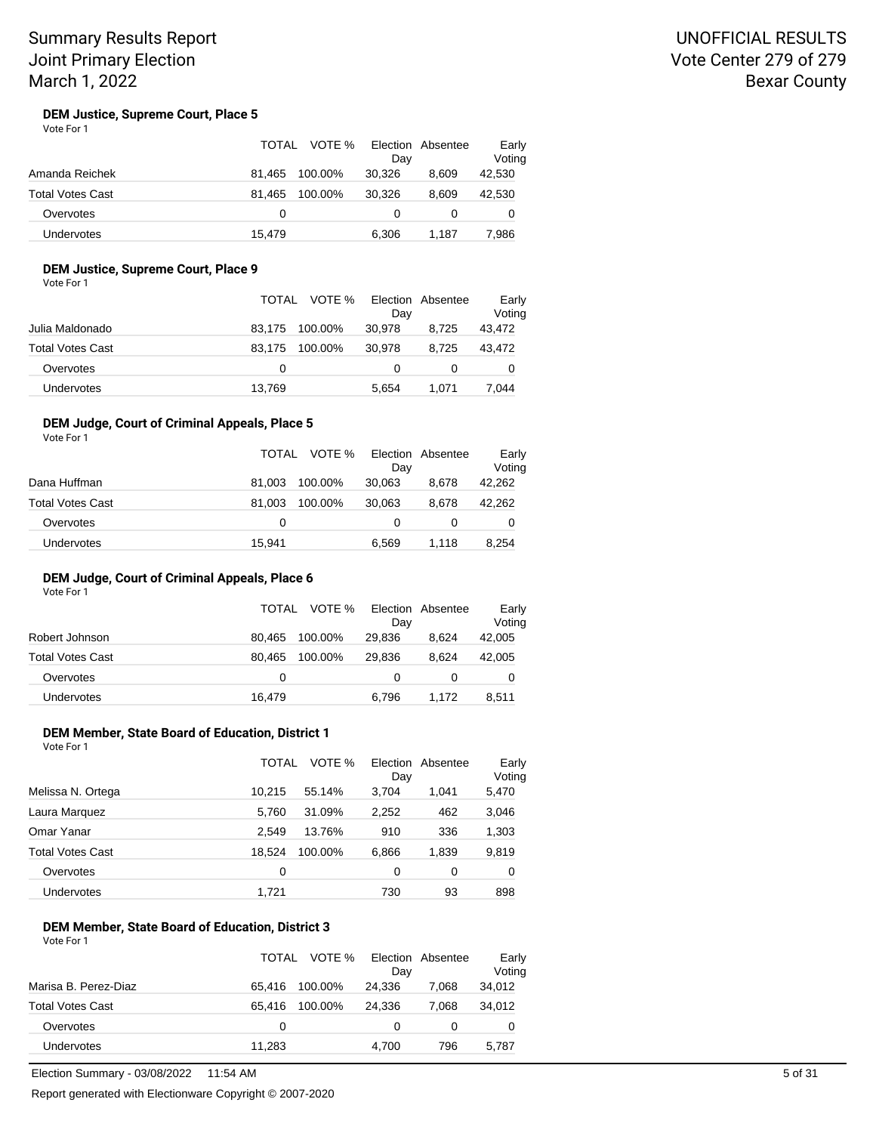## UNOFFICIAL RESULTS Vote Center 279 of 279 Bexar County

#### **DEM Justice, Supreme Court, Place 5** Vote For 1

|                         | TOTAL  | VOTE %<br>Dav     | Election Absentee | Early<br>Voting |
|-------------------------|--------|-------------------|-------------------|-----------------|
| Amanda Reichek          | 81.465 | 30.326<br>100.00% | 8.609             | 42,530          |
| <b>Total Votes Cast</b> | 81.465 | 100.00%<br>30.326 | 8.609             | 42,530          |
| Overvotes               | 0      | 0                 |                   |                 |
| Undervotes              | 15.479 | 6.306             | 1.187             | 7,986           |

## **DEM Justice, Supreme Court, Place 9**

Vote For 1

|                   |          | TOTAL VOTE % Election Absentee | Day      |       | Early<br>Voting |
|-------------------|----------|--------------------------------|----------|-------|-----------------|
| Julia Maldonado   | 83.175   | 100.00%                        | 30,978   | 8.725 | 43,472          |
| Total Votes Cast  | 83.175   | 100.00%                        | 30.978   | 8.725 | 43,472          |
| Overvotes         | $\Omega$ |                                | $\Omega$ |       | 0               |
| <b>Undervotes</b> | 13,769   |                                | 5.654    | 1.071 | 7.044           |

### **DEM Judge, Court of Criminal Appeals, Place 5**

| Vote For 1              | TOTAL  | VOTE %  |        | Election Absentee | Early  |
|-------------------------|--------|---------|--------|-------------------|--------|
|                         |        |         | Day    |                   | Voting |
| Dana Huffman            | 81.003 | 100.00% | 30.063 | 8.678             | 42,262 |
| <b>Total Votes Cast</b> | 81.003 | 100.00% | 30.063 | 8.678             | 42,262 |
| Overvotes               | 0      |         | 0      | 0                 | 0      |
| <b>Undervotes</b>       | 15.941 |         | 6.569  | 1.118             | 8.254  |

#### **DEM Judge, Court of Criminal Appeals, Place 6**

Vote For 1

|                   |        | TOTAL VOTE % | Election Absentee<br>Day |       | Early<br>Voting |
|-------------------|--------|--------------|--------------------------|-------|-----------------|
| Robert Johnson    | 80.465 | 100.00%      | 29.836                   | 8.624 | 42,005          |
| Total Votes Cast  | 80.465 | 100.00%      | 29.836                   | 8.624 | 42,005          |
| Overvotes         | 0      |              |                          |       | 0               |
| <b>Undervotes</b> | 16,479 |              | 6.796                    | 1.172 | 8,511           |

### **DEM Member, State Board of Education, District 1**

|                   | VOTE %<br>TOTAL |         | Election<br>Absentee<br>Day |       | Early<br>Voting |  |
|-------------------|-----------------|---------|-----------------------------|-------|-----------------|--|
| Melissa N. Ortega | 10.215          | 55.14%  | 3.704                       | 1.041 | 5,470           |  |
| Laura Marquez     | 5.760           | 31.09%  | 2,252                       | 462   | 3,046           |  |
| Omar Yanar        | 2.549           | 13.76%  | 910                         | 336   | 1,303           |  |
| Total Votes Cast  | 18.524          | 100.00% | 6,866                       | 1,839 | 9,819           |  |
| Overvotes         | 0               |         | 0                           | 0     | 0               |  |
| Undervotes        | 1,721           |         | 730                         | 93    | 898             |  |

#### **DEM Member, State Board of Education, District 3** Vote For 1

|                      |        | TOTAL VOTE % | Day    | Election Absentee | Early<br>Voting |
|----------------------|--------|--------------|--------|-------------------|-----------------|
| Marisa B. Perez-Diaz | 65.416 | 100.00%      | 24,336 | 7.068             | 34,012          |
| Total Votes Cast     | 65.416 | 100.00%      | 24.336 | 7.068             | 34,012          |
| Overvotes            | 0      |              | 0      | 0                 | 0               |
| <b>Undervotes</b>    | 11,283 |              | 4.700  | 796               | 5,787           |

Election Summary - 03/08/2022 11:54 AM 5 of 31

Report generated with Electionware Copyright © 2007-2020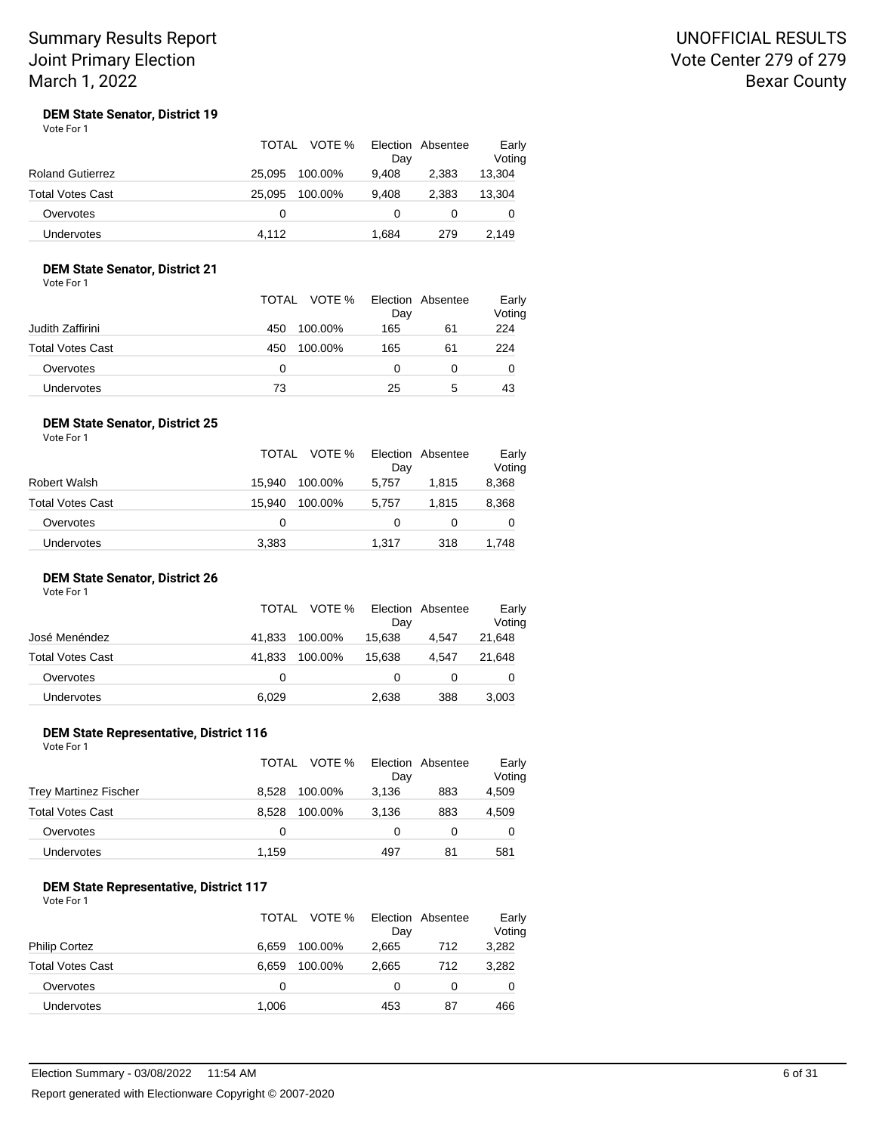## UNOFFICIAL RESULTS Vote Center 279 of 279 Bexar County

#### **DEM State Senator, District 19** Vote For 1

|                         | VOTE %<br><b>TOTAL</b> | Election Absentee<br>Day | Early<br>Voting |
|-------------------------|------------------------|--------------------------|-----------------|
| <b>Roland Gutierrez</b> | 25.095<br>100.00%      | 9,408<br>2.383           | 13,304          |
| <b>Total Votes Cast</b> | 25.095<br>100.00%      | 9.408<br>2.383           | 13,304          |
| Overvotes               | 0                      | 0                        | O               |
| <b>Undervotes</b>       | 4.112                  | 1.684<br>279             | 2.149           |

## **DEM State Senator, District 21**

Vote For 1

|                  |     | TOTAL VOTE % | Election Absentee<br>Day |    | Early<br>Voting |
|------------------|-----|--------------|--------------------------|----|-----------------|
| Judith Zaffirini | 450 | 100.00%      | 165                      | 61 | 224             |
| Total Votes Cast | 450 | 100.00%      | 165                      | 61 | 224             |
| Overvotes        | 0   |              | 0                        |    | O               |
| Undervotes       | 73  |              | 25                       | 5  | 43              |

#### **DEM State Senator, District 25** Vote For 1

|                  | TOTAL  | VOTE %  | Day   | Election Absentee | Early<br>Voting |
|------------------|--------|---------|-------|-------------------|-----------------|
| Robert Walsh     | 15.940 | 100.00% | 5.757 | 1.815             | 8,368           |
| Total Votes Cast | 15.940 | 100.00% | 5.757 | 1.815             | 8,368           |
| Overvotes        | 0      |         | 0     | 0                 | 0               |
| Undervotes       | 3,383  |         | 1.317 | 318               | 1,748           |

### **DEM State Senator, District 26**

| Vote For 1 |  |
|------------|--|
|            |  |

|                         | TOTAL  | VOTE %  | Dav    | Election Absentee | Early<br>Voting |
|-------------------------|--------|---------|--------|-------------------|-----------------|
| José Menéndez           | 41.833 | 100.00% | 15.638 | 4.547             | 21,648          |
| <b>Total Votes Cast</b> | 41.833 | 100.00% | 15.638 | 4.547             | 21,648          |
| Overvotes               | 0      |         | 0      |                   | O               |
| <b>Undervotes</b>       | 6,029  |         | 2,638  | 388               | 3,003           |

### **DEM State Representative, District 116**

| Vote For 1                   |                  |                          |                 |
|------------------------------|------------------|--------------------------|-----------------|
|                              | VOTE %<br>TOTAL  | Election Absentee<br>Dav | Early<br>Voting |
| <b>Trey Martinez Fischer</b> | 8.528<br>100.00% | 883<br>3.136             | 4,509           |
| <b>Total Votes Cast</b>      | 100.00%<br>8.528 | 3.136<br>883             | 4,509           |
| Overvotes                    | $\Omega$         |                          |                 |
|                              |                  |                          |                 |

### **DEM State Representative, District 117**

| Vote For 1 |  |
|------------|--|
|            |  |

|                         | TOTAL | VOTE %  | Day   | Election Absentee | Early<br>Voting |
|-------------------------|-------|---------|-------|-------------------|-----------------|
| <b>Philip Cortez</b>    | 6.659 | 100.00% | 2.665 | 712               | 3,282           |
| <b>Total Votes Cast</b> | 6.659 | 100.00% | 2.665 | 712               | 3,282           |
| Overvotes               | 0     |         | 0     |                   | 0               |
| <b>Undervotes</b>       | 1,006 |         | 453   | 87                | 466             |

Undervotes 1,159 497 81 581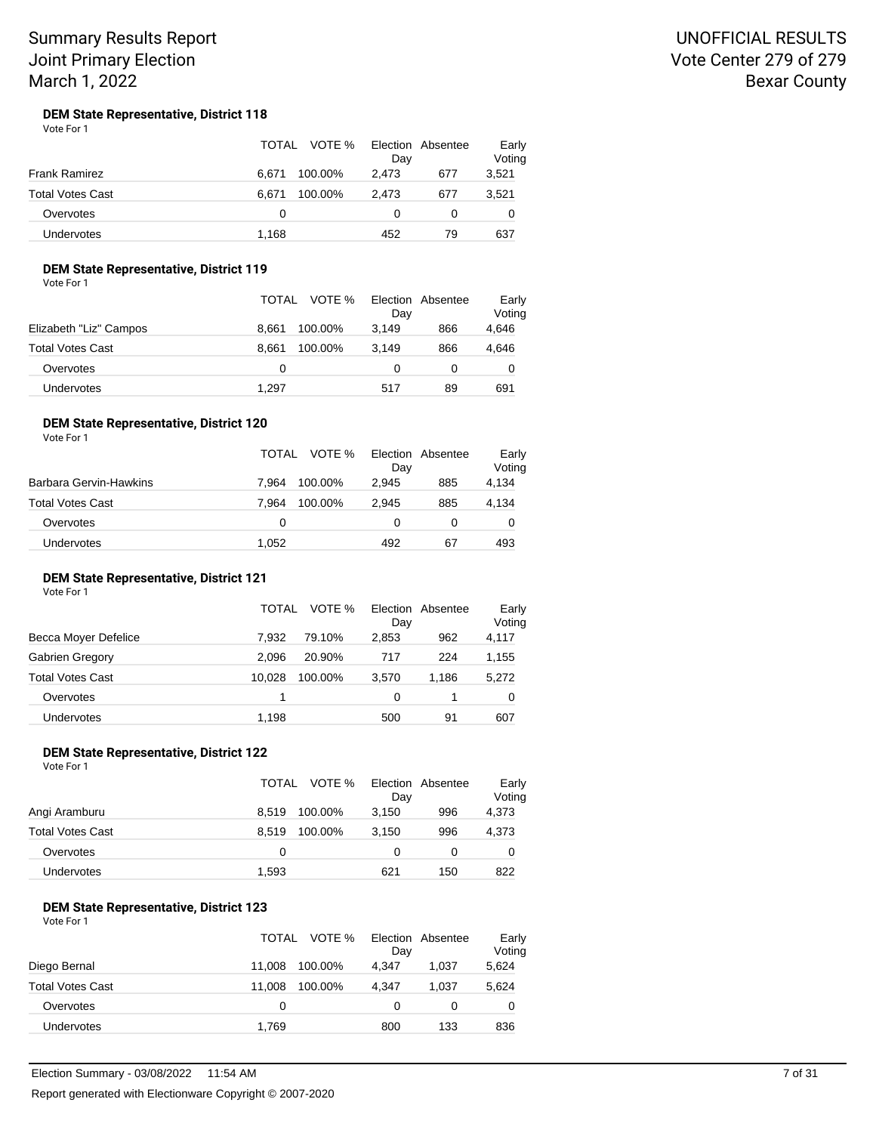## UNOFFICIAL RESULTS Vote Center 279 of 279 Bexar County

#### **DEM State Representative, District 118** Vote For 1

|                         | TOTAL            | VOTE % Election Absentee<br>Day | Early<br>Voting |
|-------------------------|------------------|---------------------------------|-----------------|
| Frank Ramirez           | 100.00%<br>6.671 | 2,473<br>677                    | 3,521           |
| <b>Total Votes Cast</b> | 100.00%<br>6.671 | 677<br>2.473                    | 3,521           |
| Overvotes               | 0                | 0                               |                 |
| <b>Undervotes</b>       | 1.168            | 452                             | 637<br>79       |

### **DEM State Representative, District 119**

Vote For 1

|                        | TOTAL VOTE % | Day              | Election Absentee | Early<br>Voting |
|------------------------|--------------|------------------|-------------------|-----------------|
| Elizabeth "Liz" Campos | 8.661        | 3.149<br>100.00% | 866               | 4,646           |
| Total Votes Cast       | 8.661        | 100.00%<br>3.149 | 866               | 4,646           |
| Overvotes              | 0            |                  |                   | 0               |
| <b>Undervotes</b>      | 1.297        | 517              | 89                | 691             |

#### **DEM State Representative, District 120** Vote For 1

|                         | TOTAL | VOTE %  | Day   | Election Absentee | Early<br>Voting |
|-------------------------|-------|---------|-------|-------------------|-----------------|
| Barbara Gervin-Hawkins  | 7.964 | 100.00% | 2.945 | 885               | 4,134           |
| <b>Total Votes Cast</b> | 7.964 | 100.00% | 2.945 | 885               | 4,134           |
| Overvotes               | 0     |         | 0     |                   | 0               |
| Undervotes              | 1.052 |         | 492   | 67                | 493             |

### **DEM State Representative, District 121**

Vote For 1

|                         | TOTAL  | VOTE %  | Day   | Election Absentee | Early<br>Voting |
|-------------------------|--------|---------|-------|-------------------|-----------------|
| Becca Moyer Defelice    | 7.932  | 79.10%  | 2.853 | 962               | 4,117           |
| Gabrien Gregory         | 2.096  | 20.90%  | 717   | 224               | 1,155           |
| <b>Total Votes Cast</b> | 10.028 | 100.00% | 3.570 | 1.186             | 5,272           |
| Overvotes               |        |         | 0     |                   | 0               |
| <b>Undervotes</b>       | 1,198  |         | 500   | 91                | 607             |

#### **DEM State Representative, District 122** Vote For 1

|                   | TOTAL | VOTE %  | Election Absentee<br>Day |     | Early<br>Voting |
|-------------------|-------|---------|--------------------------|-----|-----------------|
| Angi Aramburu     | 8.519 | 100.00% | 3.150                    | 996 | 4,373           |
| Total Votes Cast  | 8.519 | 100.00% | 3.150                    | 996 | 4,373           |
| Overvotes         | 0     |         | 0                        | 0   | 0               |
| <b>Undervotes</b> | 1,593 |         | 621                      | 150 | 822             |

#### **DEM State Representative, District 123** Vote For 1

|                         | TOTAL  | VOTE %  | Day   | Election Absentee | Early<br>Voting |
|-------------------------|--------|---------|-------|-------------------|-----------------|
| Diego Bernal            | 11.008 | 100.00% | 4.347 | 1.037             | 5,624           |
| <b>Total Votes Cast</b> | 11.008 | 100.00% | 4.347 | 1.037             | 5,624           |
| Overvotes               | 0      |         | 0     |                   | 0               |
| <b>Undervotes</b>       | 1,769  |         | 800   | 133               | 836             |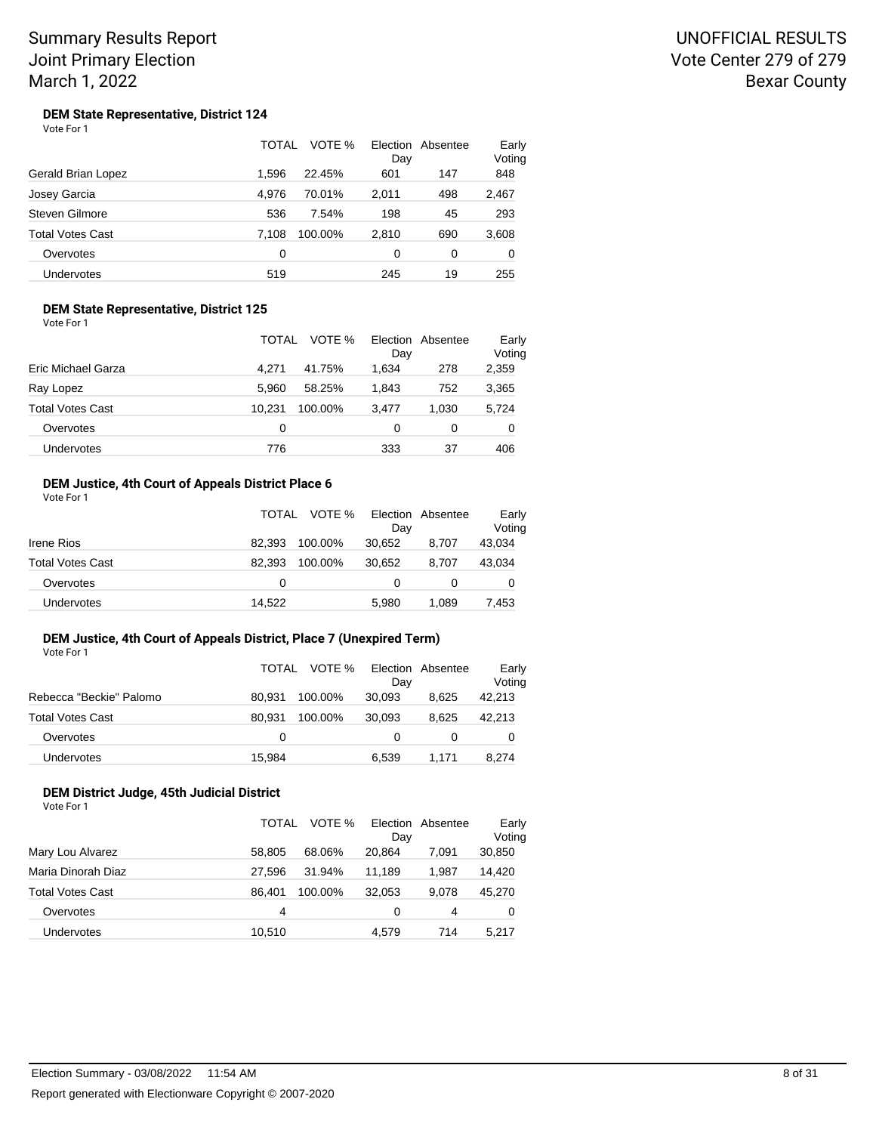## UNOFFICIAL RESULTS Vote Center 279 of 279 Bexar County

#### **DEM State Representative, District 124** Vote For 1

|                         | TOTAL | VOTE %  | Election<br>Day | Absentee | Early<br>Voting |
|-------------------------|-------|---------|-----------------|----------|-----------------|
| Gerald Brian Lopez      | 1.596 | 22.45%  | 601             | 147      | 848             |
| Josey Garcia            | 4.976 | 70.01%  | 2,011           | 498      | 2,467           |
| Steven Gilmore          | 536   | 7.54%   | 198             | 45       | 293             |
| <b>Total Votes Cast</b> | 7.108 | 100.00% | 2,810           | 690      | 3,608           |
| Overvotes               | 0     |         | 0               | 0        | 0               |
| <b>Undervotes</b>       | 519   |         | 245             | 19       | 255             |

### **DEM State Representative, District 125** Vote For 1

|                         | VOTE %<br>TOTAL   | Election Absentee<br>Day | Early<br>Voting |
|-------------------------|-------------------|--------------------------|-----------------|
| Eric Michael Garza      | 41.75%<br>4.271   | 1.634<br>278             | 2,359           |
| Ray Lopez               | 5.960<br>58.25%   | 752<br>1.843             | 3,365           |
| <b>Total Votes Cast</b> | 10.231<br>100.00% | 1.030<br>3.477           | 5,724           |
| Overvotes               | 0                 | 0<br>0                   | 0               |
| <b>Undervotes</b>       | 776               | 333<br>37                | 406             |

## **DEM Justice, 4th Court of Appeals District Place 6**

| Vote For 1 |  |
|------------|--|
|------------|--|

|                         | TOTAL  | VOTE %  | Day    | Election Absentee | Early<br>Voting |
|-------------------------|--------|---------|--------|-------------------|-----------------|
| Irene Rios              | 82.393 | 100.00% | 30,652 | 8.707             | 43,034          |
| <b>Total Votes Cast</b> | 82.393 | 100.00% | 30.652 | 8.707             | 43,034          |
| Overvotes               | 0      |         | 0      |                   |                 |
| Undervotes              | 14,522 |         | 5,980  | 1.089             | 7,453           |

## **DEM Justice, 4th Court of Appeals District, Place 7 (Unexpired Term)**

|                         | TOTAL  | VOTE %  | Election Absentee<br>Dav |       | Early<br>Voting |
|-------------------------|--------|---------|--------------------------|-------|-----------------|
| Rebecca "Beckie" Palomo | 80.931 | 100.00% | 30.093                   | 8.625 | 42,213          |
| Total Votes Cast        | 80.931 | 100.00% | 30.093                   | 8.625 | 42,213          |
| Overvotes               | 0      |         | 0                        |       | 0               |
| <b>Undervotes</b>       | 15,984 |         | 6.539                    | 1.171 | 8,274           |

### **DEM District Judge, 45th Judicial District**

| Vote For 1 |  |
|------------|--|
|            |  |

|                    | TOTAL  | VOTE %  | Day    | Election Absentee | Early<br>Voting |
|--------------------|--------|---------|--------|-------------------|-----------------|
| Mary Lou Alvarez   | 58.805 | 68.06%  | 20.864 | 7.091             | 30,850          |
| Maria Dinorah Diaz | 27.596 | 31.94%  | 11.189 | 1.987             | 14.420          |
| Total Votes Cast   | 86.401 | 100.00% | 32.053 | 9.078             | 45,270          |
| Overvotes          | 4      |         | 0      | 4                 | 0               |
| Undervotes         | 10.510 |         | 4.579  | 714               | 5.217           |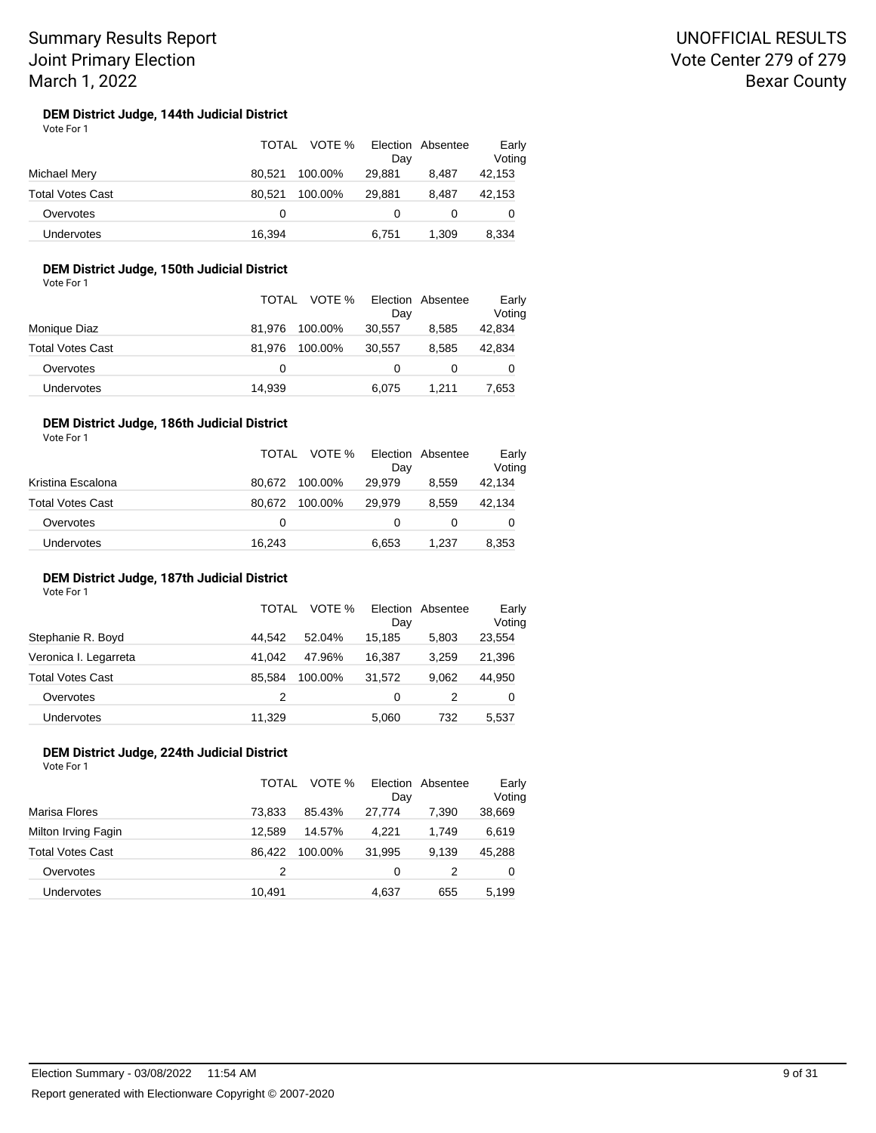#### **DEM District Judge, 144th Judicial District** Vote For 1

|                  | TOTAL  | VOTE %  | Dav    | Election Absentee | Early<br>Voting |
|------------------|--------|---------|--------|-------------------|-----------------|
| Michael Mery     | 80.521 | 100.00% | 29,881 | 8.487             | 42,153          |
| Total Votes Cast | 80.521 | 100.00% | 29.881 | 8.487             | 42,153          |
| Overvotes        | 0      |         |        |                   | 0               |
| Undervotes       | 16,394 |         | 6.751  | 1,309             | 8,334           |

## **DEM District Judge, 150th Judicial District**

Vote For 1

|                   |        | TOTAL VOTE % | Election Absentee |       | Early  |
|-------------------|--------|--------------|-------------------|-------|--------|
|                   |        |              | Dav               |       | Voting |
| Monique Diaz      | 81.976 | 100.00%      | 30.557            | 8.585 | 42,834 |
| Total Votes Cast  | 81.976 | 100.00%      | 30.557            | 8.585 | 42,834 |
| Overvotes         | 0      |              |                   |       | 0      |
| <b>Undervotes</b> | 14,939 |              | 6.075             | 1.211 | 7,653  |

#### **DEM District Judge, 186th Judicial District** Vote For 1

|                         | TOTAL  | VOTE %  | Dav    | Election Absentee | Early<br>Voting |
|-------------------------|--------|---------|--------|-------------------|-----------------|
| Kristina Escalona       | 80.672 | 100.00% | 29.979 | 8.559             | 42,134          |
| <b>Total Votes Cast</b> | 80.672 | 100.00% | 29.979 | 8.559             | 42,134          |
| Overvotes               | 0      |         | 0      |                   | 0               |
| Undervotes              | 16,243 |         | 6.653  | 1.237             | 8,353           |

### **DEM District Judge, 187th Judicial District**

Vote For 1

#### TOTAL VOTE % Day Election Absentee Early Voting Stephanie R. Boyd **44,542** 52.04% 15,185 5,803 23,554 Veronica I. Legarreta 41,042 47.96% 16,387 3,259 21,396 Total Votes Cast 85,584 100.00% 31,572 9,062 44,950 Overvotes 2 0 2 0 Undervotes 11,329 5,060 732 5,537

#### **DEM District Judge, 224th Judicial District** Vote For 1

|                         | TOTAL  | VOTE %  | Election<br>Day | Absentee | Early<br>Voting |
|-------------------------|--------|---------|-----------------|----------|-----------------|
| Marisa Flores           | 73.833 | 85.43%  | 27.774          | 7.390    | 38,669          |
| Milton Irving Fagin     | 12.589 | 14.57%  | 4.221           | 1.749    | 6,619           |
| <b>Total Votes Cast</b> | 86.422 | 100.00% | 31,995          | 9.139    | 45,288          |
| Overvotes               | 2      |         | 0               | 2        | 0               |
| Undervotes              | 10,491 |         | 4,637           | 655      | 5,199           |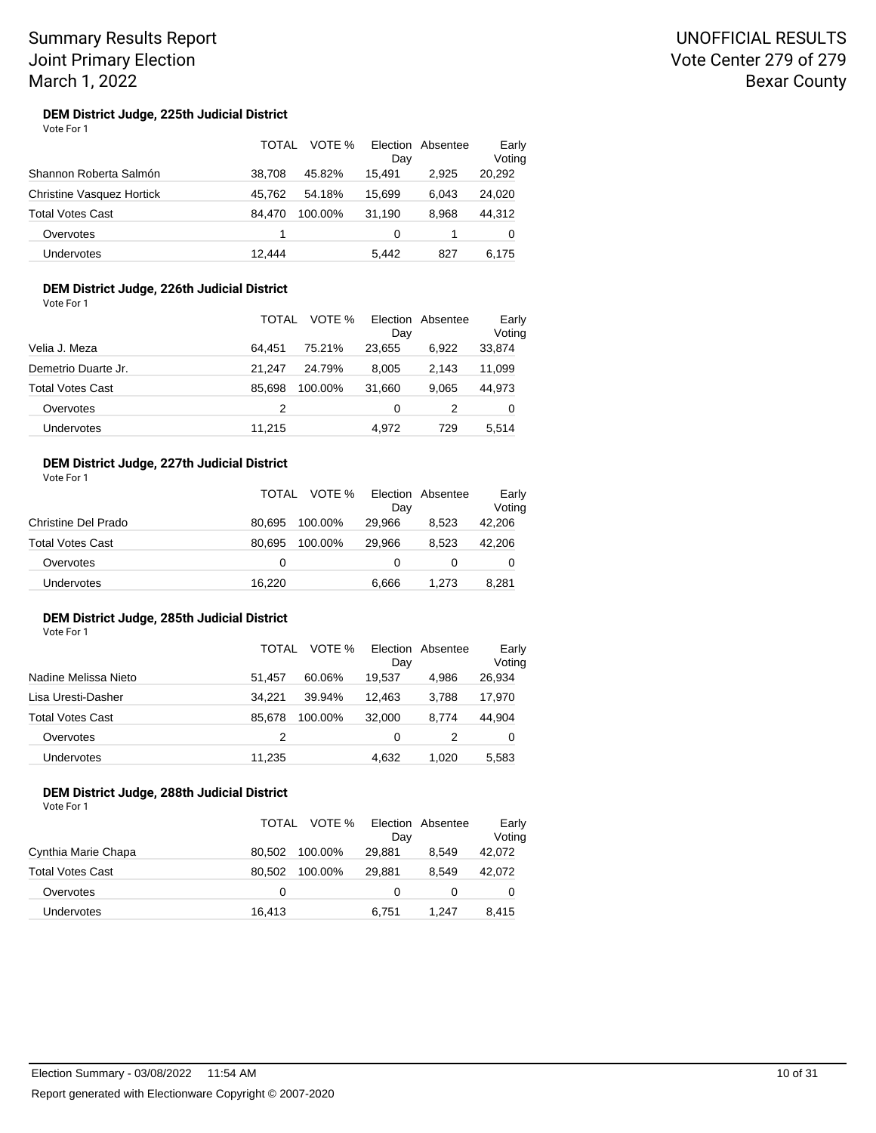#### **DEM District Judge, 225th Judicial District** Vote For 1

|                                  | TOTAL  | VOTE %  | Election<br>Day | Absentee | Early<br>Voting |
|----------------------------------|--------|---------|-----------------|----------|-----------------|
| Shannon Roberta Salmón           | 38.708 | 45.82%  | 15.491          | 2.925    | 20,292          |
| <b>Christine Vasquez Hortick</b> | 45.762 | 54.18%  | 15.699          | 6.043    | 24,020          |
| <b>Total Votes Cast</b>          | 84.470 | 100.00% | 31,190          | 8.968    | 44,312          |
| Overvotes                        | 1      |         | 0               |          | 0               |
| <b>Undervotes</b>                | 12.444 |         | 5.442           | 827      | 6.175           |

### **DEM District Judge, 226th Judicial District**

Vote For 1

|                     | <b>TOTAL</b> | VOTE %  | Day    | Election Absentee | Early<br>Voting |
|---------------------|--------------|---------|--------|-------------------|-----------------|
| Velia J. Meza       | 64.451       | 75.21%  | 23.655 | 6.922             | 33,874          |
| Demetrio Duarte Jr. | 21.247       | 24.79%  | 8.005  | 2.143             | 11,099          |
| Total Votes Cast    | 85.698       | 100.00% | 31.660 | 9.065             | 44,973          |
| Overvotes           | 2            |         | 0      |                   | 0               |
| <b>Undervotes</b>   | 11.215       |         | 4.972  | 729               | 5.514           |

## **DEM District Judge, 227th Judicial District**

Vote For 1

|                     | TOTAL  |         | VOTE % Election Absentee<br>Day |       | Early<br>Voting |
|---------------------|--------|---------|---------------------------------|-------|-----------------|
| Christine Del Prado | 80.695 | 100.00% | 29.966                          | 8.523 | 42,206          |
| Total Votes Cast    | 80.695 | 100.00% | 29.966                          | 8.523 | 42,206          |
| Overvotes           | 0      |         | 0                               | 0     |                 |
| Undervotes          | 16,220 |         | 6,666                           | 1.273 | 8,281           |

#### **DEM District Judge, 285th Judicial District** Vote For 1

|                         | TOTAL  | VOTE %  | Election<br>Day | Absentee | Early<br>Voting |
|-------------------------|--------|---------|-----------------|----------|-----------------|
| Nadine Melissa Nieto    | 51.457 | 60.06%  | 19.537          | 4.986    | 26,934          |
| Lisa Uresti-Dasher      | 34.221 | 39.94%  | 12.463          | 3.788    | 17,970          |
| <b>Total Votes Cast</b> | 85.678 | 100.00% | 32,000          | 8.774    | 44,904          |
| Overvotes               | 2      |         | 0               |          | 0               |
| <b>Undervotes</b>       | 11,235 |         | 4,632           | 1.020    | 5,583           |

### **DEM District Judge, 288th Judicial District**

| Vote For 1              |                   |        |                   |                 |
|-------------------------|-------------------|--------|-------------------|-----------------|
|                         | VOTE %<br>TOTAL   | Day    | Election Absentee | Early<br>Voting |
| Cynthia Marie Chapa     | 80.502<br>100.00% | 29.881 | 8.549             | 42,072          |
| <b>Total Votes Cast</b> | 80.502<br>100.00% | 29.881 | 8.549             | 42,072          |
| Overvotes               | 0                 | 0      | 0                 | 0               |
| Undervotes              | 16.413            | 6.751  | 1.247             | 8.415           |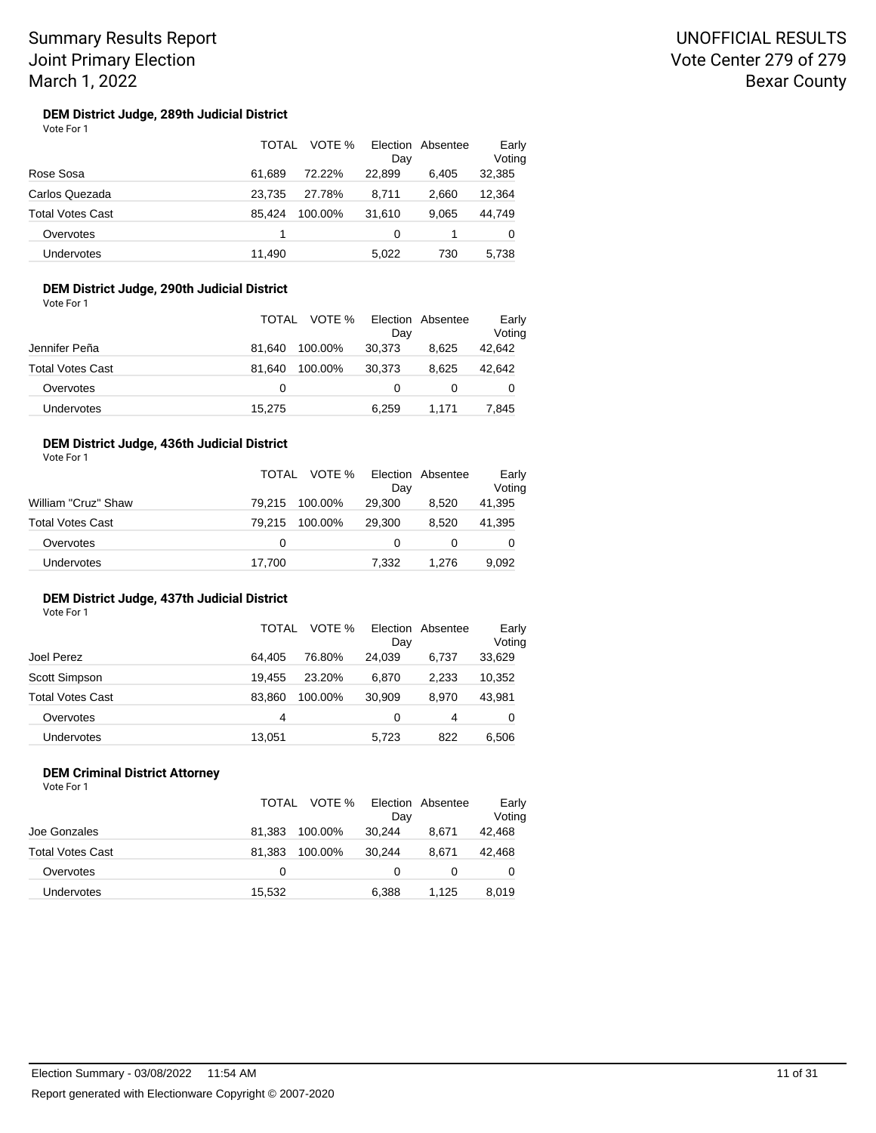#### **DEM District Judge, 289th Judicial District** Vote For 1

|                         | TOTAL  | VOTE %  | Day    | Election Absentee | Early<br>Voting |
|-------------------------|--------|---------|--------|-------------------|-----------------|
| Rose Sosa               | 61.689 | 72.22%  | 22.899 | 6.405             | 32,385          |
| Carlos Quezada          | 23.735 | 27.78%  | 8.711  | 2.660             | 12,364          |
| <b>Total Votes Cast</b> | 85.424 | 100.00% | 31.610 | 9.065             | 44,749          |
| Overvotes               | 1      |         | 0      |                   | 0               |
| Undervotes              | 11.490 |         | 5,022  | 730               | 5.738           |

## **DEM District Judge, 290th Judicial District**

Vote For 1

|                         |        | TOTAL VOTE % Election Absentee | Day    |       | Early<br>Voting |
|-------------------------|--------|--------------------------------|--------|-------|-----------------|
| Jennifer Peña           | 81.640 | 100.00%                        | 30.373 | 8.625 | 42,642          |
| <b>Total Votes Cast</b> | 81.640 | 100.00%                        | 30.373 | 8.625 | 42,642          |
| Overvotes               | 0      |                                | 0      |       | 0               |
| <b>Undervotes</b>       | 15,275 |                                | 6.259  | 1.171 | 7,845           |

## **DEM District Judge, 436th Judicial District**

Vote For 1

|                         | TOTAL  | VOTE %  | Dav    | Election Absentee | Early<br>Voting |
|-------------------------|--------|---------|--------|-------------------|-----------------|
| William "Cruz" Shaw     | 79.215 | 100.00% | 29,300 | 8.520             | 41,395          |
| <b>Total Votes Cast</b> | 79.215 | 100.00% | 29,300 | 8.520             | 41,395          |
| Overvotes               | 0      |         |        |                   |                 |
| Undervotes              | 17,700 |         | 7.332  | 1.276             | 9,092           |

#### **DEM District Judge, 437th Judicial District** Vote For 1

|                   | TOTAL  | VOTE %  | Election<br>Dav | Absentee | Early<br>Voting |
|-------------------|--------|---------|-----------------|----------|-----------------|
| Joel Perez        | 64.405 | 76.80%  | 24.039          | 6,737    | 33,629          |
| Scott Simpson     | 19.455 | 23.20%  | 6.870           | 2.233    | 10,352          |
| Total Votes Cast  | 83.860 | 100.00% | 30,909          | 8.970    | 43.981          |
| Overvotes         | 4      |         | 0               | 4        | 0               |
| <b>Undervotes</b> | 13,051 |         | 5.723           | 822      | 6.506           |

## **DEM Criminal District Attorney**

|                   |        | TOTAL VOTE % Election Absentee | Day    |       | Early<br>Voting |
|-------------------|--------|--------------------------------|--------|-------|-----------------|
| Joe Gonzales      | 81.383 | 100.00%                        | 30.244 | 8.671 | 42,468          |
| Total Votes Cast  | 81.383 | 100.00%                        | 30.244 | 8.671 | 42,468          |
| Overvotes         | 0      |                                |        |       |                 |
| <b>Undervotes</b> | 15,532 |                                | 6.388  | 1.125 | 8,019           |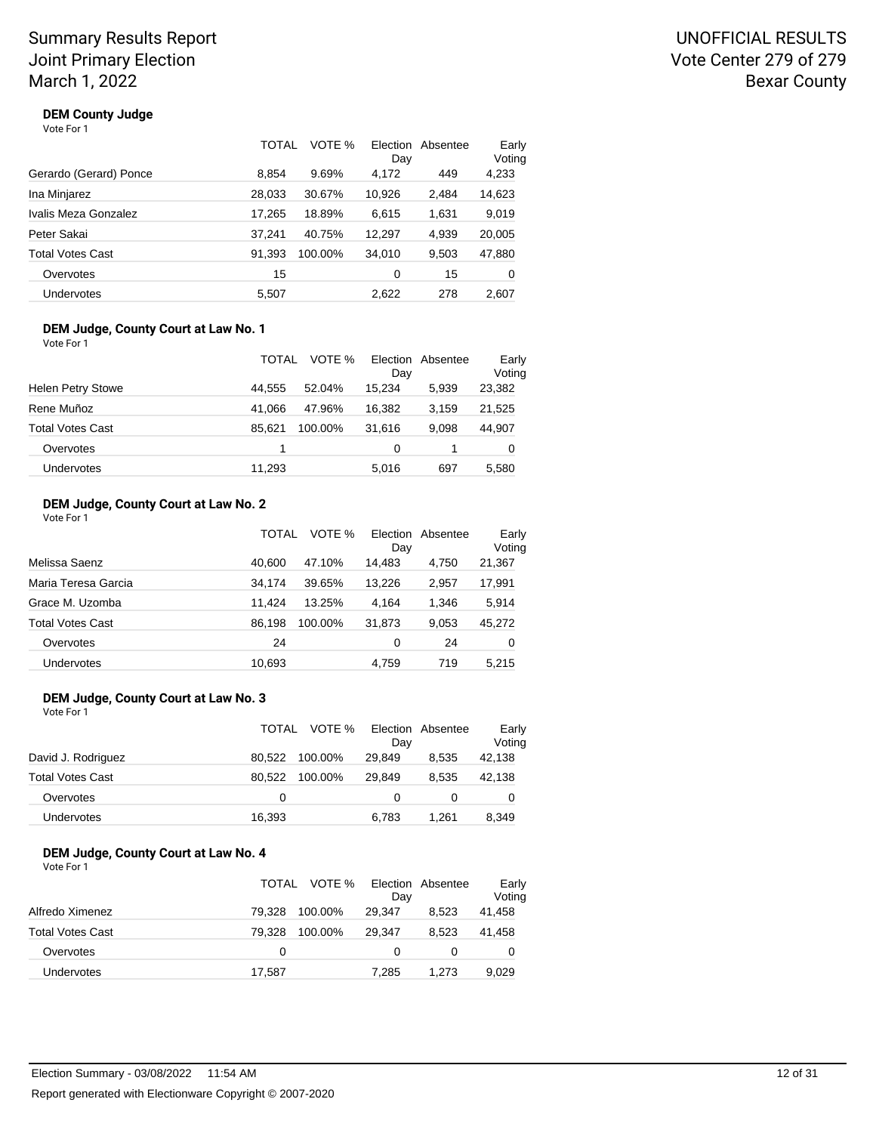## UNOFFICIAL RESULTS Vote Center 279 of 279 Bexar County

## **DEM County Judge**

| Vote For 1 |
|------------|
|------------|

|                        | TOTAL  | VOTE %  | Election<br>Day | Absentee | Early<br>Voting |
|------------------------|--------|---------|-----------------|----------|-----------------|
| Gerardo (Gerard) Ponce | 8.854  | 9.69%   | 4,172           | 449      | 4,233           |
| Ina Minjarez           | 28,033 | 30.67%  | 10.926          | 2,484    | 14,623          |
| Ivalis Meza Gonzalez   | 17,265 | 18.89%  | 6,615           | 1,631    | 9,019           |
| Peter Sakai            | 37.241 | 40.75%  | 12,297          | 4,939    | 20,005          |
| Total Votes Cast       | 91,393 | 100.00% | 34,010          | 9,503    | 47,880          |
| Overvotes              | 15     |         | 0               | 15       | 0               |
| Undervotes             | 5,507  |         | 2,622           | 278      | 2,607           |

#### **DEM Judge, County Court at Law No. 1** Vote For 1

|                          | TOTAL  | VOTE %  | Election<br>Day | Absentee | Early<br>Voting |
|--------------------------|--------|---------|-----------------|----------|-----------------|
| <b>Helen Petry Stowe</b> | 44.555 | 52.04%  | 15.234          | 5.939    | 23,382          |
| Rene Muñoz               | 41.066 | 47.96%  | 16.382          | 3.159    | 21,525          |
| <b>Total Votes Cast</b>  | 85.621 | 100.00% | 31.616          | 9.098    | 44,907          |
| Overvotes                |        |         | 0               |          | 0               |
| Undervotes               | 11.293 |         | 5.016           | 697      | 5.580           |

## **DEM Judge, County Court at Law No. 2**

|  | Vote For 1 |  |
|--|------------|--|
|  |            |  |

|                         | TOTAL  | VOTE %  | <b>Election</b><br>Day | Absentee | Early<br>Voting |
|-------------------------|--------|---------|------------------------|----------|-----------------|
| Melissa Saenz           | 40.600 | 47.10%  | 14.483                 | 4.750    | 21,367          |
| Maria Teresa Garcia     | 34.174 | 39.65%  | 13,226                 | 2,957    | 17,991          |
| Grace M. Uzomba         | 11.424 | 13.25%  | 4.164                  | 1.346    | 5,914           |
| <b>Total Votes Cast</b> | 86.198 | 100.00% | 31,873                 | 9,053    | 45,272          |
| Overvotes               | 24     |         | 0                      | 24       | 0               |
| <b>Undervotes</b>       | 10.693 |         | 4.759                  | 719      | 5.215           |

#### **DEM Judge, County Court at Law No. 3** Vote For 1

|                    | TOTAL VOTE %      | Dav      | Election Absentee | Early<br>Voting |
|--------------------|-------------------|----------|-------------------|-----------------|
| David J. Rodriguez | 80.522<br>100.00% | 29.849   | 8.535             | 42,138          |
| Total Votes Cast   | 80.522<br>100.00% | 29.849   | 8.535             | 42,138          |
| Overvotes          | 0                 | $\Omega$ |                   | 0               |
| Undervotes         | 16,393            | 6.783    | 1.261             | 8,349           |

#### **DEM Judge, County Court at Law No. 4** Vote For 1

|                         | TOTAL  | VOTE %  | Day    | Election Absentee | Early<br>Voting |
|-------------------------|--------|---------|--------|-------------------|-----------------|
| Alfredo Ximenez         | 79.328 | 100.00% | 29.347 | 8.523             | 41,458          |
| <b>Total Votes Cast</b> | 79.328 | 100.00% | 29.347 | 8.523             | 41.458          |
| Overvotes               | 0      |         | 0      |                   | 0               |
| Undervotes              | 17,587 |         | 7.285  | 1.273             | 9,029           |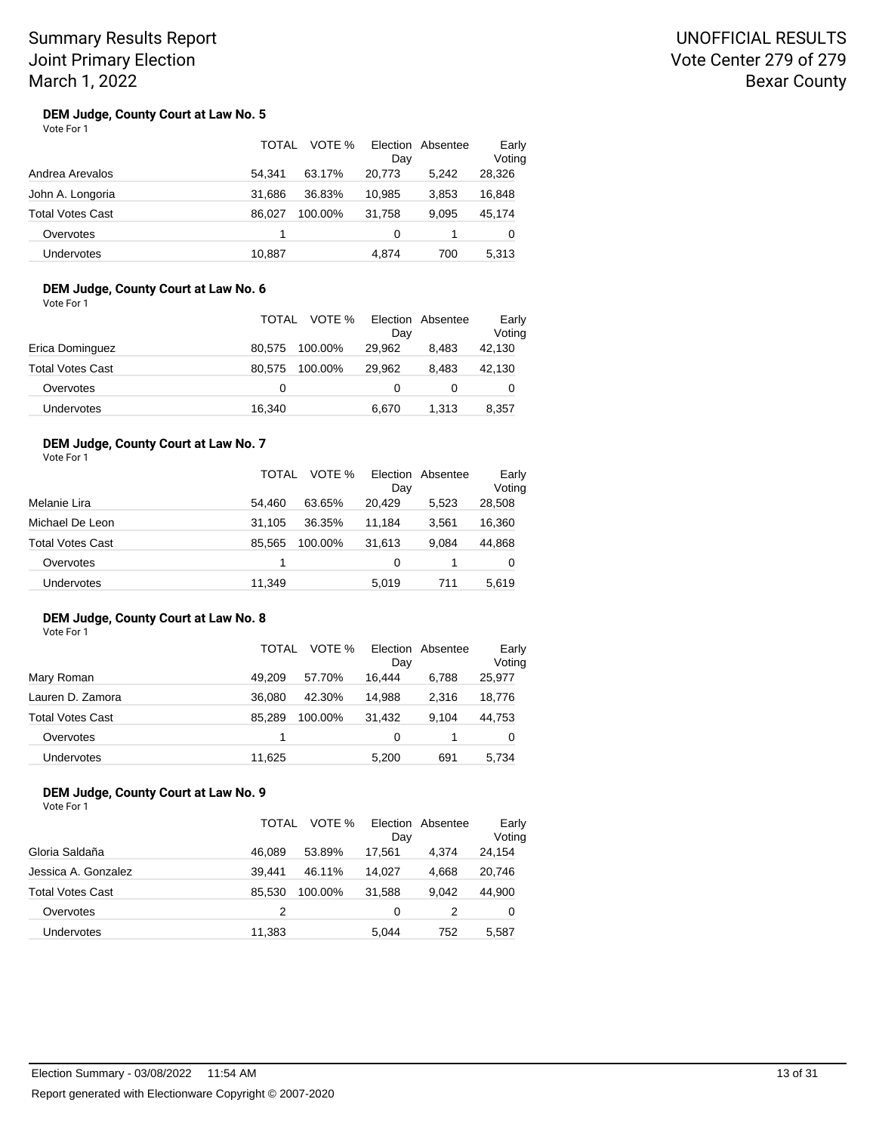## UNOFFICIAL RESULTS Vote Center 279 of 279 Bexar County

#### **DEM Judge, County Court at Law No. 5** Vote For 1

|                         | TOTAL<br>VOTE %   | Election Absentee<br>Day | Early<br>Voting |
|-------------------------|-------------------|--------------------------|-----------------|
| Andrea Arevalos         | 63.17%<br>54.341  | 20.773<br>5.242          | 28,326          |
| John A. Longoria        | 31.686<br>36.83%  | 3.853<br>10.985          | 16,848          |
| <b>Total Votes Cast</b> | 86.027<br>100.00% | 31.758<br>9.095          | 45,174          |
| Overvotes               | 1                 | 0                        | O               |
| <b>Undervotes</b>       | 10.887            | 4.874<br>700             | 5.313           |

### **DEM Judge, County Court at Law No. 6**

Vote For 1

|                         | TOTAL  | VOTE %  | Election<br>Dav | Absentee | Early<br>Voting |
|-------------------------|--------|---------|-----------------|----------|-----------------|
| Erica Dominguez         | 80.575 | 100.00% | 29.962          | 8.483    | 42,130          |
|                         |        |         |                 |          |                 |
| <b>Total Votes Cast</b> | 80.575 | 100.00% | 29.962          | 8.483    | 42,130          |
| Overvotes               | 0      |         |                 |          |                 |
| <b>Undervotes</b>       | 16,340 |         | 6.670           | 1.313    | 8,357           |

## **DEM Judge, County Court at Law No. 7**

Vote For 1

|                         | TOTAL  | VOTE %  | Election<br>Day | Absentee | Early<br>Voting |
|-------------------------|--------|---------|-----------------|----------|-----------------|
| Melanie Lira            | 54.460 | 63.65%  | 20.429          | 5.523    | 28,508          |
| Michael De Leon         | 31.105 | 36.35%  | 11.184          | 3.561    | 16,360          |
| <b>Total Votes Cast</b> | 85.565 | 100.00% | 31.613          | 9.084    | 44,868          |
| Overvotes               | 1      |         | 0               |          | 0               |
| Undervotes              | 11,349 |         | 5,019           | 711      | 5,619           |

#### **DEM Judge, County Court at Law No. 8** Vote For 1

|                  | TOTAL  | VOTE %  | Election<br>Dav | Absentee | Early<br>Voting |
|------------------|--------|---------|-----------------|----------|-----------------|
| Mary Roman       | 49.209 | 57.70%  | 16.444          | 6.788    | 25,977          |
| Lauren D. Zamora | 36,080 | 42.30%  | 14.988          | 2.316    | 18,776          |
| Total Votes Cast | 85.289 | 100.00% | 31.432          | 9.104    | 44,753          |
| Overvotes        |        |         | 0               |          | 0               |
| Undervotes       | 11.625 |         | 5.200           | 691      | 5.734           |

### **DEM Judge, County Court at Law No. 9**

|                     | TOTAL  | VOTE %  | Day    | Election Absentee | Early<br>Voting |
|---------------------|--------|---------|--------|-------------------|-----------------|
| Gloria Saldaña      | 46.089 | 53.89%  | 17.561 | 4.374             | 24,154          |
| Jessica A. Gonzalez | 39.441 | 46.11%  | 14.027 | 4.668             | 20,746          |
| Total Votes Cast    | 85.530 | 100.00% | 31.588 | 9.042             | 44.900          |
| Overvotes           | 2      |         | 0      |                   | 0               |
| Undervotes          | 11,383 |         | 5.044  | 752               | 5.587           |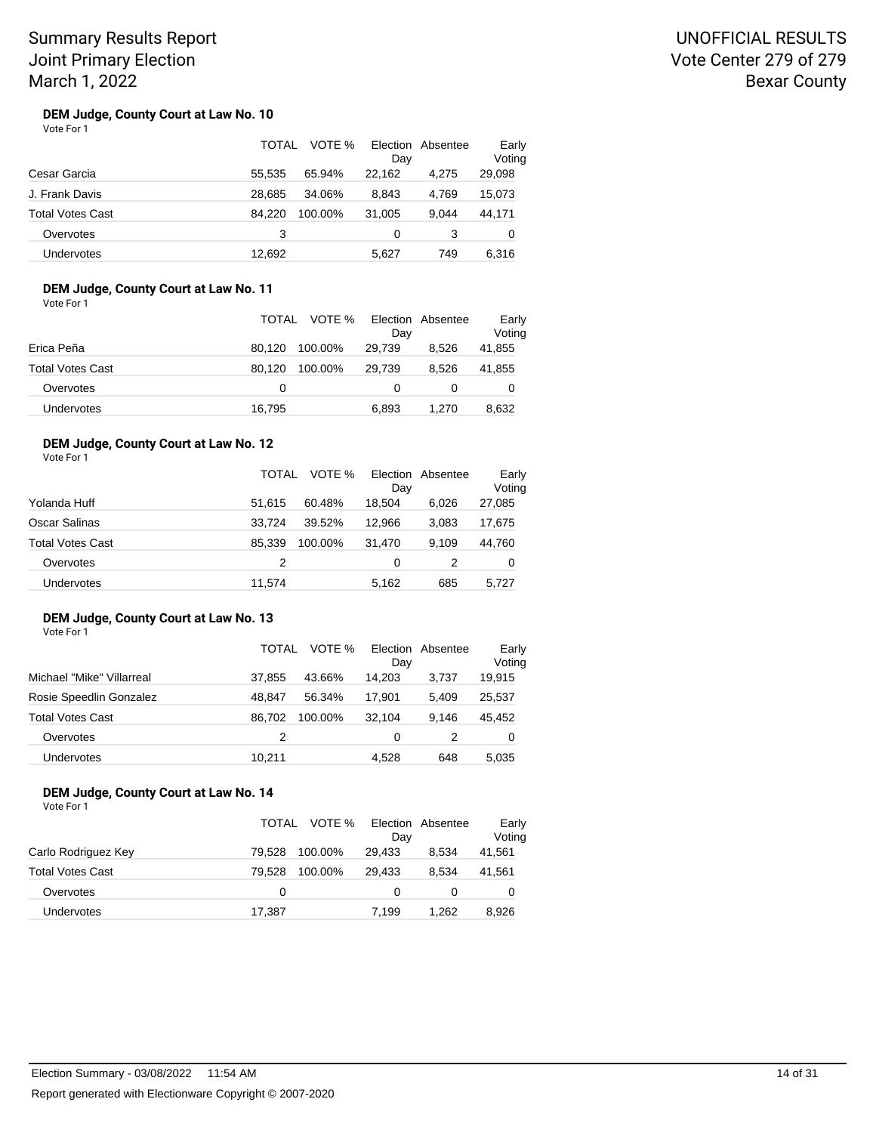## UNOFFICIAL RESULTS Vote Center 279 of 279 Bexar County

#### **DEM Judge, County Court at Law No. 10** Vote For 1

|                         | TOTAL  | VOTE %  | Election<br>Day | Absentee | Early<br>Voting |
|-------------------------|--------|---------|-----------------|----------|-----------------|
| Cesar Garcia            | 55.535 | 65.94%  | 22.162          | 4.275    | 29,098          |
| J. Frank Davis          | 28.685 | 34.06%  | 8.843           | 4.769    | 15,073          |
| <b>Total Votes Cast</b> | 84.220 | 100.00% | 31.005          | 9.044    | 44,171          |
| Overvotes               | 3      |         | 0               | 3        | O               |
| Undervotes              | 12.692 |         | 5.627           | 749      | 6.316           |

### **DEM Judge, County Court at Law No. 11**

Vote For 1

|                         | TOTAL  | VOTE %  | Election Absentee |       | Early            |
|-------------------------|--------|---------|-------------------|-------|------------------|
| Erica Peña              | 80.120 | 100.00% | Day<br>29.739     | 8.526 | Voting<br>41,855 |
| <b>Total Votes Cast</b> | 80.120 | 100.00% | 29.739            | 8.526 | 41,855           |
| Overvotes               | 0      |         |                   |       | 0                |
| Undervotes              | 16,795 |         | 6,893             | 1.270 | 8,632            |

## **DEM Judge, County Court at Law No. 12**

Vote For 1

|                         | TOTAL  | VOTE %  | Election<br>Day | Absentee | Early<br>Voting |
|-------------------------|--------|---------|-----------------|----------|-----------------|
| Yolanda Huff            | 51.615 | 60.48%  | 18.504          | 6.026    | 27,085          |
| Oscar Salinas           | 33.724 | 39.52%  | 12.966          | 3.083    | 17,675          |
| <b>Total Votes Cast</b> | 85.339 | 100.00% | 31.470          | 9.109    | 44,760          |
| Overvotes               | 2      |         | 0               | 2        | 0               |
| Undervotes              | 11,574 |         | 5,162           | 685      | 5,727           |

#### **DEM Judge, County Court at Law No. 13** Vote For 1

|                           | TOTAL  | VOTE %  | Election<br>Dav | Absentee | Early<br>Voting |
|---------------------------|--------|---------|-----------------|----------|-----------------|
| Michael "Mike" Villarreal | 37.855 | 43.66%  | 14,203          | 3.737    | 19,915          |
| Rosie Speedlin Gonzalez   | 48.847 | 56.34%  | 17.901          | 5.409    | 25,537          |
| <b>Total Votes Cast</b>   | 86.702 | 100.00% | 32.104          | 9.146    | 45,452          |
| Overvotes                 | 2      |         | 0               |          | 0               |
| <b>Undervotes</b>         | 10.211 |         | 4.528           | 648      | 5.035           |

### **DEM Judge, County Court at Law No. 14**

|                     | TOTAL  | VOTE %  | Dav    | Election Absentee | Early<br>Voting |
|---------------------|--------|---------|--------|-------------------|-----------------|
| Carlo Rodriguez Key | 79.528 | 100.00% | 29,433 | 8.534             | 41,561          |
| Total Votes Cast    | 79.528 | 100.00% | 29.433 | 8.534             | 41,561          |
| Overvotes           | 0      |         |        |                   | 0               |
| <b>Undervotes</b>   | 17.387 |         | 7.199  | 1.262             | 8.926           |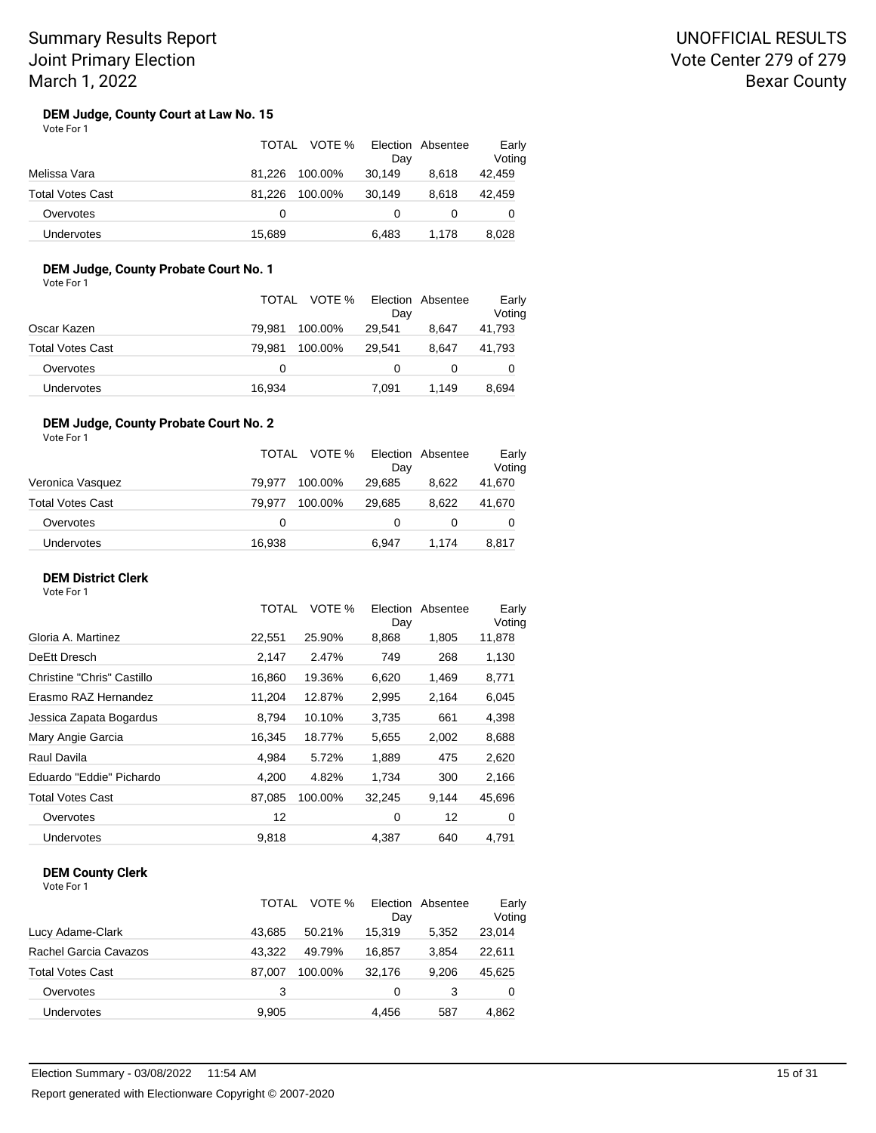## UNOFFICIAL RESULTS Vote Center 279 of 279 Bexar County

#### **DEM Judge, County Court at Law No. 15** Vote For 1

|                         | TOTAL             | VOTE % Election Absentee<br>Day |       | Early<br>Voting |
|-------------------------|-------------------|---------------------------------|-------|-----------------|
| Melissa Vara            | 81.226<br>100.00% | 30,149                          | 8.618 | 42,459          |
| <b>Total Votes Cast</b> | 100.00%<br>81.226 | 30.149                          | 8.618 | 42.459          |
| Overvotes               | 0                 | $\mathbf{0}$                    |       |                 |
| Undervotes              | 15.689            | 6.483                           | 1.178 | 8.028           |

## **DEM Judge, County Probate Court No. 1**

Vote For 1

|                   |        | TOTAL VOTE % | Election Absentee<br>Day |       | Early<br>Voting |
|-------------------|--------|--------------|--------------------------|-------|-----------------|
| Oscar Kazen       | 79.981 | 100.00%      | 29.541                   | 8.647 | 41,793          |
| Total Votes Cast  | 79.981 | 100.00%      | 29.541                   | 8.647 | 41,793          |
| Overvotes         | 0      |              |                          |       | 0               |
| <b>Undervotes</b> | 16,934 |              | 7.091                    | 1.149 | 8.694           |

#### **DEM Judge, County Probate Court No. 2** Vote For 1

|                         | TOTAL  | VOTE %  | Dav    | Election Absentee | Early<br>Voting |
|-------------------------|--------|---------|--------|-------------------|-----------------|
| Veronica Vasquez        | 79.977 | 100.00% | 29,685 | 8.622             | 41,670          |
| <b>Total Votes Cast</b> | 79.977 | 100.00% | 29.685 | 8.622             | 41,670          |
| Overvotes               | 0      |         | 0      |                   | 0               |
| Undervotes              | 16,938 |         | 6,947  | 1.174             | 8,817           |

### **DEM District Clerk**

Vote For 1

|                            | <b>TOTAL</b> | VOTE %  | Election<br>Day | Absentee | Early<br>Voting |  |
|----------------------------|--------------|---------|-----------------|----------|-----------------|--|
| Gloria A. Martinez         | 22,551       | 25.90%  | 8,868           | 1,805    | 11,878          |  |
| DeEtt Dresch               | 2,147        | 2.47%   | 749             | 268      | 1,130           |  |
| Christine "Chris" Castillo | 16,860       | 19.36%  | 6,620           | 1,469    | 8,771           |  |
| Erasmo RAZ Hernandez       | 11,204       | 12.87%  | 2,995           | 2,164    | 6,045           |  |
| Jessica Zapata Bogardus    | 8,794        | 10.10%  | 3,735           | 661      | 4,398           |  |
| Mary Angie Garcia          | 16,345       | 18.77%  | 5,655           | 2,002    | 8,688           |  |
| Raul Davila                | 4,984        | 5.72%   | 1,889           | 475      | 2,620           |  |
| Eduardo "Eddie" Pichardo   | 4,200        | 4.82%   | 1,734           | 300      | 2,166           |  |
| <b>Total Votes Cast</b>    | 87,085       | 100.00% | 32,245          | 9,144    | 45,696          |  |
| Overvotes                  | 12           |         | 0               | 12       | 0               |  |
| <b>Undervotes</b>          | 9,818        |         | 4,387           | 640      | 4,791           |  |
|                            |              |         |                 |          |                 |  |

## **DEM County Clerk**

|                         | TOTAL  | VOTE %  | Election<br>Day | Absentee | Early<br>Voting |
|-------------------------|--------|---------|-----------------|----------|-----------------|
| Lucy Adame-Clark        | 43.685 | 50.21%  | 15,319          | 5.352    | 23,014          |
| Rachel Garcia Cavazos   | 43.322 | 49.79%  | 16.857          | 3.854    | 22,611          |
| <b>Total Votes Cast</b> | 87.007 | 100.00% | 32.176          | 9.206    | 45,625          |
| Overvotes               | 3      |         | 0               | 3        | 0               |
| Undervotes              | 9,905  |         | 4.456           | 587      | 4,862           |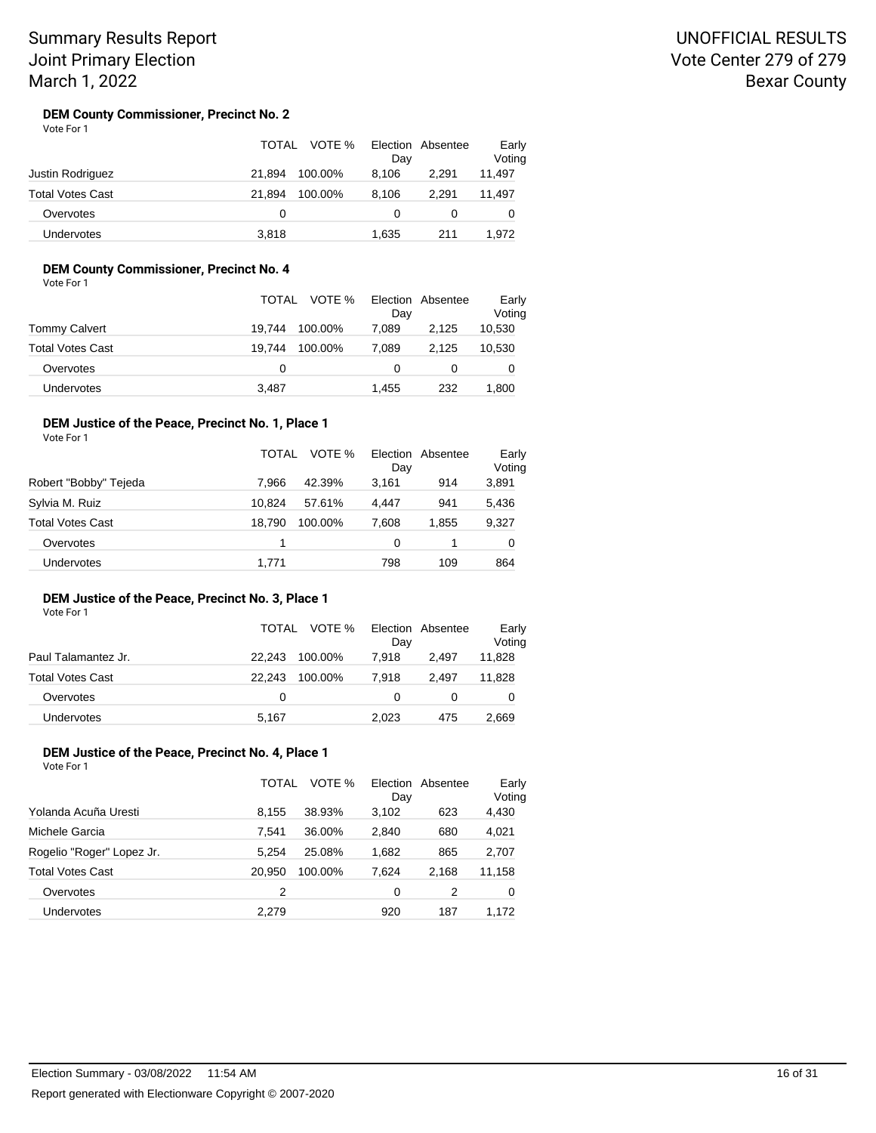#### **DEM County Commissioner, Precinct No. 2** Vote For 1

|                         | TOTAL  | VOTE %  | Day   | Election Absentee | Early<br>Voting |
|-------------------------|--------|---------|-------|-------------------|-----------------|
| Justin Rodriguez        | 21.894 | 100.00% | 8.106 | 2.291             | 11,497          |
| <b>Total Votes Cast</b> | 21.894 | 100.00% | 8.106 | 2.291             | 11.497          |
| Overvotes               | 0      |         | 0     | 0                 |                 |
| Undervotes              | 3,818  |         | 1,635 | 211               | 1.972           |

## **DEM County Commissioner, Precinct No. 4**

Vote For 1

|                  | TOTAL VOTE %      | Election Absentee<br>Day |       | Early<br>Voting |
|------------------|-------------------|--------------------------|-------|-----------------|
| Tommy Calvert    | 19.744<br>100.00% | 7.089                    | 2,125 | 10,530          |
| Total Votes Cast | 19.744<br>100.00% | 7.089                    | 2.125 | 10,530          |
| Overvotes        | 0                 |                          |       | 0               |
| Undervotes       | 3,487             | 1.455                    | 232   | 1.800           |

#### **DEM Justice of the Peace, Precinct No. 1, Place 1** Vote For 1

|                         | TOTAL<br>VOTE %   | Election Absentee<br>Day | Early<br>Voting |
|-------------------------|-------------------|--------------------------|-----------------|
| Robert "Bobby" Tejeda   | 7.966<br>42.39%   | 3.161<br>914             | 3,891           |
| Sylvia M. Ruiz          | 10.824<br>57.61%  | 4.447<br>941             | 5,436           |
| <b>Total Votes Cast</b> | 18.790<br>100.00% | 7.608<br>1.855           | 9,327           |
| Overvotes               |                   | 0                        | 0               |
| <b>Undervotes</b>       | 1.771             | 798<br>109               | 864             |

#### **DEM Justice of the Peace, Precinct No. 3, Place 1** Vote For 1

|                     |        | TOTAL VOTE % | Day   | Election Absentee | Early<br>Voting |
|---------------------|--------|--------------|-------|-------------------|-----------------|
| Paul Talamantez Jr. | 22.243 | 100.00%      | 7.918 | 2.497             | 11,828          |
| Total Votes Cast    | 22.243 | 100.00%      | 7.918 | 2.497             | 11,828          |
| Overvotes           | 0      |              |       |                   | 0               |
| <b>Undervotes</b>   | 5,167  |              | 2,023 | 475               | 2,669           |

#### **DEM Justice of the Peace, Precinct No. 4, Place 1** Vote For 1

|                           | TOTAL  | VOTE %  | Day   | Election Absentee | Early<br>Voting |
|---------------------------|--------|---------|-------|-------------------|-----------------|
| Yolanda Acuña Uresti      | 8.155  | 38.93%  | 3,102 | 623               | 4,430           |
| Michele Garcia            | 7.541  | 36.00%  | 2,840 | 680               | 4,021           |
| Rogelio "Roger" Lopez Jr. | 5.254  | 25.08%  | 1,682 | 865               | 2,707           |
| <b>Total Votes Cast</b>   | 20.950 | 100.00% | 7.624 | 2.168             | 11,158          |
| Overvotes                 | 2      |         | 0     | 2                 | 0               |
| Undervotes                | 2.279  |         | 920   | 187               | 1.172           |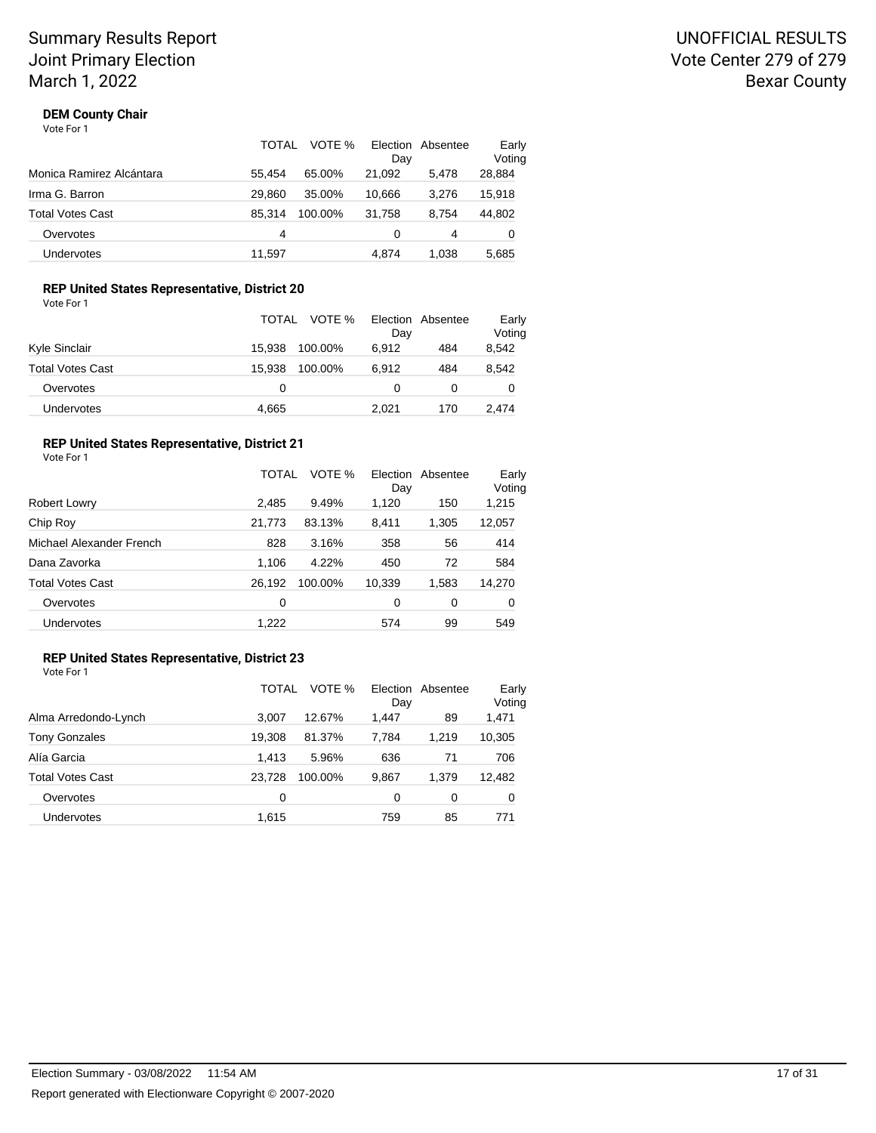## **DEM County Chair**

Vote For 1

|                          | TOTAL  | VOTE %  | Election | Absentee | Early  |
|--------------------------|--------|---------|----------|----------|--------|
|                          |        |         | Day      |          | Voting |
| Monica Ramirez Alcántara | 55.454 | 65.00%  | 21.092   | 5.478    | 28,884 |
| Irma G. Barron           | 29.860 | 35.00%  | 10,666   | 3.276    | 15,918 |
| Total Votes Cast         | 85.314 | 100.00% | 31.758   | 8.754    | 44,802 |
| Overvotes                | 4      |         | 0        | 4        | 0      |
| <b>Undervotes</b>        | 11.597 |         | 4.874    | 1.038    | 5,685  |

## **REP United States Representative, District 20**

Vote For 1

|                         | TOTAL  | VOTE %<br>Day    | Election Absentee | Early<br>Voting |
|-------------------------|--------|------------------|-------------------|-----------------|
| Kyle Sinclair           | 15.938 | 100.00%<br>6.912 | 484               | 8,542           |
| <b>Total Votes Cast</b> | 15.938 | 100.00%<br>6.912 | 484               | 8,542           |
| Overvotes               | 0      | O                |                   | 0               |
| Undervotes              | 4,665  | 2.021            | 170               | 2.474           |

## **REP United States Representative, District 21**

Vote For 1

|                          | TOTAL  | VOTE %  | Election<br>Day | Absentee | Early<br>Voting |
|--------------------------|--------|---------|-----------------|----------|-----------------|
| Robert Lowry             | 2,485  | 9.49%   | 1,120           | 150      | 1,215           |
| Chip Roy                 | 21,773 | 83.13%  | 8,411           | 1,305    | 12,057          |
| Michael Alexander French | 828    | 3.16%   | 358             | 56       | 414             |
| Dana Zavorka             | 1,106  | 4.22%   | 450             | 72       | 584             |
| <b>Total Votes Cast</b>  | 26.192 | 100.00% | 10,339          | 1,583    | 14,270          |
| Overvotes                | 0      |         | $\Omega$        | 0        | 0               |
| <b>Undervotes</b>        | 1,222  |         | 574             | 99       | 549             |

#### **REP United States Representative, District 23** Vote For 1

|                         | TOTAL  | VOTE %  | Election<br>Day | Absentee | Early<br>Voting |
|-------------------------|--------|---------|-----------------|----------|-----------------|
| Alma Arredondo-Lynch    | 3.007  | 12.67%  | 1.447           | 89       | 1,471           |
| <b>Tony Gonzales</b>    | 19,308 | 81.37%  | 7,784           | 1.219    | 10,305          |
| Alía Garcia             | 1.413  | 5.96%   | 636             | 71       | 706             |
| <b>Total Votes Cast</b> | 23.728 | 100.00% | 9,867           | 1.379    | 12,482          |
| Overvotes               | 0      |         | 0               | 0        | 0               |
| <b>Undervotes</b>       | 1.615  |         | 759             | 85       | 771             |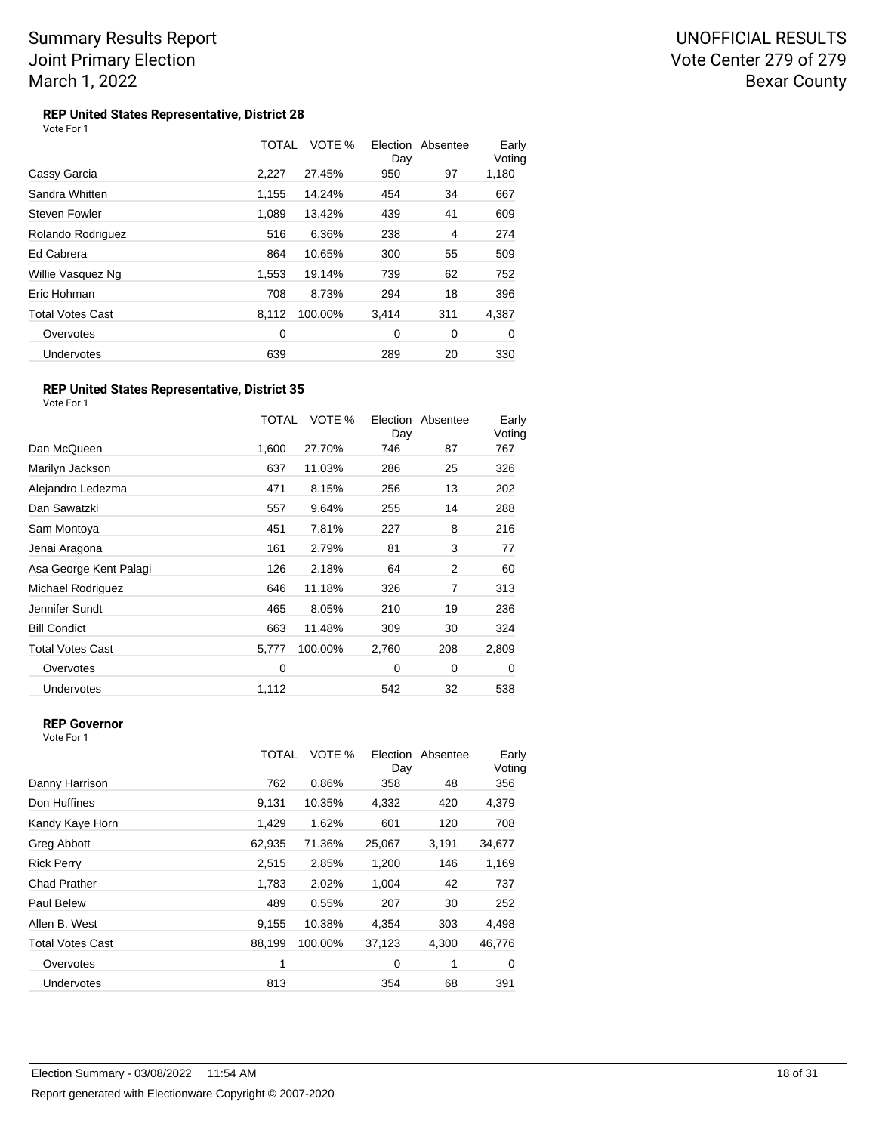#### **REP United States Representative, District 28** Vote For 1

|                         | TOTAL | VOTE %  | Election<br>Day | Absentee | Early<br>Voting |
|-------------------------|-------|---------|-----------------|----------|-----------------|
| Cassy Garcia            | 2,227 | 27.45%  | 950             | 97       | 1,180           |
| Sandra Whitten          | 1,155 | 14.24%  | 454             | 34       | 667             |
| Steven Fowler           | 1.089 | 13.42%  | 439             | 41       | 609             |
| Rolando Rodriguez       | 516   | 6.36%   | 238             | 4        | 274             |
| Ed Cabrera              | 864   | 10.65%  | 300             | 55       | 509             |
| Willie Vasquez Ng       | 1,553 | 19.14%  | 739             | 62       | 752             |
| Eric Hohman             | 708   | 8.73%   | 294             | 18       | 396             |
| <b>Total Votes Cast</b> | 8.112 | 100.00% | 3,414           | 311      | 4,387           |
| Overvotes               | 0     |         | 0               | 0        | 0               |
| Undervotes              | 639   |         | 289             | 20       | 330             |

#### **REP United States Representative, District 35** Vote For 1

TOTAL VOTE % Day Election Absentee Early Voting Dan McQueen 1,600 27.70% 746 87 767 Marilyn Jackson 637 11.03% 286 25 326 Alejandro Ledezma 471 8.15% 256 13 202 Dan Sawatzki 557 9.64% 255 14 288 Sam Montoya 451 7.81% 227 8 216 Jenai Aragona **161 2.79%** 81 3 77 Asa George Kent Palagi 2000 126 2.18% 64 2 60 Michael Rodriguez **646 11.18%** 326 7 313 Jennifer Sundt 465 8.05% 210 19 236 Bill Condict **663** 11.48% 309 30 324 Total Votes Cast 5,777 100.00% 2,760 208 2,809 Overvotes 0 0 0 0 Undervotes 1,112 542 32 538

## **REP Governor**

|                         | TOTAL  | VOTE %  | Election<br>Day | Absentee | Early<br>Voting |
|-------------------------|--------|---------|-----------------|----------|-----------------|
| Danny Harrison          | 762    | 0.86%   | 358             | 48       | 356             |
| Don Huffines            | 9,131  | 10.35%  | 4,332           | 420      | 4,379           |
| Kandy Kaye Horn         | 1,429  | 1.62%   | 601             | 120      | 708             |
| <b>Greg Abbott</b>      | 62,935 | 71.36%  | 25,067          | 3,191    | 34,677          |
| <b>Rick Perry</b>       | 2,515  | 2.85%   | 1,200           | 146      | 1,169           |
| <b>Chad Prather</b>     | 1,783  | 2.02%   | 1,004           | 42       | 737             |
| Paul Belew              | 489    | 0.55%   | 207             | 30       | 252             |
| Allen B. West           | 9.155  | 10.38%  | 4,354           | 303      | 4,498           |
| <b>Total Votes Cast</b> | 88,199 | 100.00% | 37,123          | 4,300    | 46,776          |
| Overvotes               | 1      |         | 0               | 1        | 0               |
| Undervotes              | 813    |         | 354             | 68       | 391             |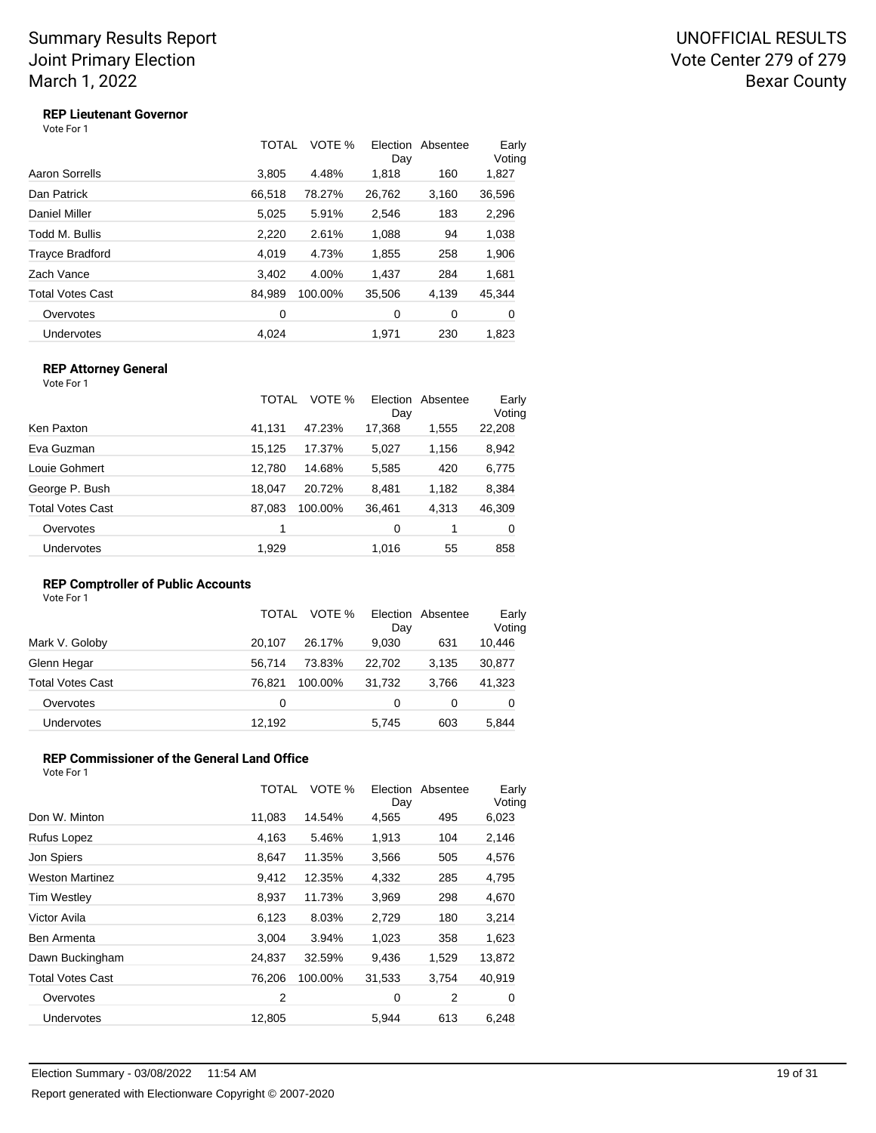UNOFFICIAL RESULTS Vote Center 279 of 279 Bexar County

## **REP Lieutenant Governor**

Vote For 1

|                         | TOTAL  | VOTE %  | Election<br>Day | Absentee | Early<br>Voting |
|-------------------------|--------|---------|-----------------|----------|-----------------|
| Aaron Sorrells          | 3,805  | 4.48%   | 1,818           | 160      | 1,827           |
| Dan Patrick             | 66,518 | 78.27%  | 26,762          | 3,160    | 36,596          |
| Daniel Miller           | 5,025  | 5.91%   | 2,546           | 183      | 2,296           |
| Todd M. Bullis          | 2,220  | 2.61%   | 1,088           | 94       | 1,038           |
| Trayce Bradford         | 4,019  | 4.73%   | 1,855           | 258      | 1,906           |
| Zach Vance              | 3,402  | 4.00%   | 1,437           | 284      | 1,681           |
| <b>Total Votes Cast</b> | 84,989 | 100.00% | 35,506          | 4,139    | 45,344          |
| Overvotes               | 0      |         | 0               | 0        | 0               |
| Undervotes              | 4.024  |         | 1.971           | 230      | 1.823           |

### **REP Attorney General**

Vote For 1

| Ken Paxton<br>47.23%<br>17,368<br>41.131<br>1,555<br>Eva Guzman<br>15,125<br>17.37%<br>1,156<br>5,027<br>Louie Gohmert<br>12,780<br>14.68%<br>5,585<br>420<br>George P. Bush<br>18.047<br>20.72%<br>8,481<br>1,182<br>Total Votes Cast<br>36,461<br>4,313<br>87.083<br>100.00%<br>Overvotes<br>1<br>0<br>Undervotes<br>1,929<br>55<br>1,016 | TOTAL | VOTE % | Election<br>Day | Absentee | Early<br>Voting |
|---------------------------------------------------------------------------------------------------------------------------------------------------------------------------------------------------------------------------------------------------------------------------------------------------------------------------------------------|-------|--------|-----------------|----------|-----------------|
|                                                                                                                                                                                                                                                                                                                                             |       |        |                 |          | 22,208          |
|                                                                                                                                                                                                                                                                                                                                             |       |        |                 |          | 8,942           |
|                                                                                                                                                                                                                                                                                                                                             |       |        |                 |          | 6,775           |
|                                                                                                                                                                                                                                                                                                                                             |       |        |                 |          | 8,384           |
|                                                                                                                                                                                                                                                                                                                                             |       |        |                 |          | 46,309          |
|                                                                                                                                                                                                                                                                                                                                             |       |        |                 |          | 0               |
|                                                                                                                                                                                                                                                                                                                                             |       |        |                 |          | 858             |

## **REP Comptroller of Public Accounts**

Vote For 1

|                   | TOTAL  | VOTE %  | Day    | Election Absentee | Early<br>Voting |
|-------------------|--------|---------|--------|-------------------|-----------------|
| Mark V. Goloby    | 20.107 | 26.17%  | 9.030  | 631               | 10,446          |
| Glenn Hegar       | 56.714 | 73.83%  | 22.702 | 3.135             | 30,877          |
| Total Votes Cast  | 76.821 | 100.00% | 31.732 | 3.766             | 41,323          |
| Overvotes         | 0      |         | 0      | 0                 | 0               |
| <b>Undervotes</b> | 12,192 |         | 5,745  | 603               | 5,844           |

#### **REP Commissioner of the General Land Office** Vote For 1

|                         | TOTAL  | VOTE %  | Election<br>Day | Absentee | Early<br>Voting |
|-------------------------|--------|---------|-----------------|----------|-----------------|
| Don W. Minton           | 11,083 | 14.54%  | 4,565           | 495      | 6,023           |
| Rufus Lopez             | 4,163  | 5.46%   | 1,913           | 104      | 2,146           |
| Jon Spiers              | 8,647  | 11.35%  | 3,566           | 505      | 4,576           |
| <b>Weston Martinez</b>  | 9,412  | 12.35%  | 4,332           | 285      | 4,795           |
| <b>Tim Westley</b>      | 8,937  | 11.73%  | 3,969           | 298      | 4,670           |
| Victor Avila            | 6,123  | 8.03%   | 2,729           | 180      | 3,214           |
| Ben Armenta             | 3,004  | 3.94%   | 1,023           | 358      | 1,623           |
| Dawn Buckingham         | 24,837 | 32.59%  | 9,436           | 1,529    | 13,872          |
| <b>Total Votes Cast</b> | 76,206 | 100.00% | 31,533          | 3,754    | 40,919          |
| Overvotes               | 2      |         | 0               | 2        | 0               |
| <b>Undervotes</b>       | 12,805 |         | 5,944           | 613      | 6,248           |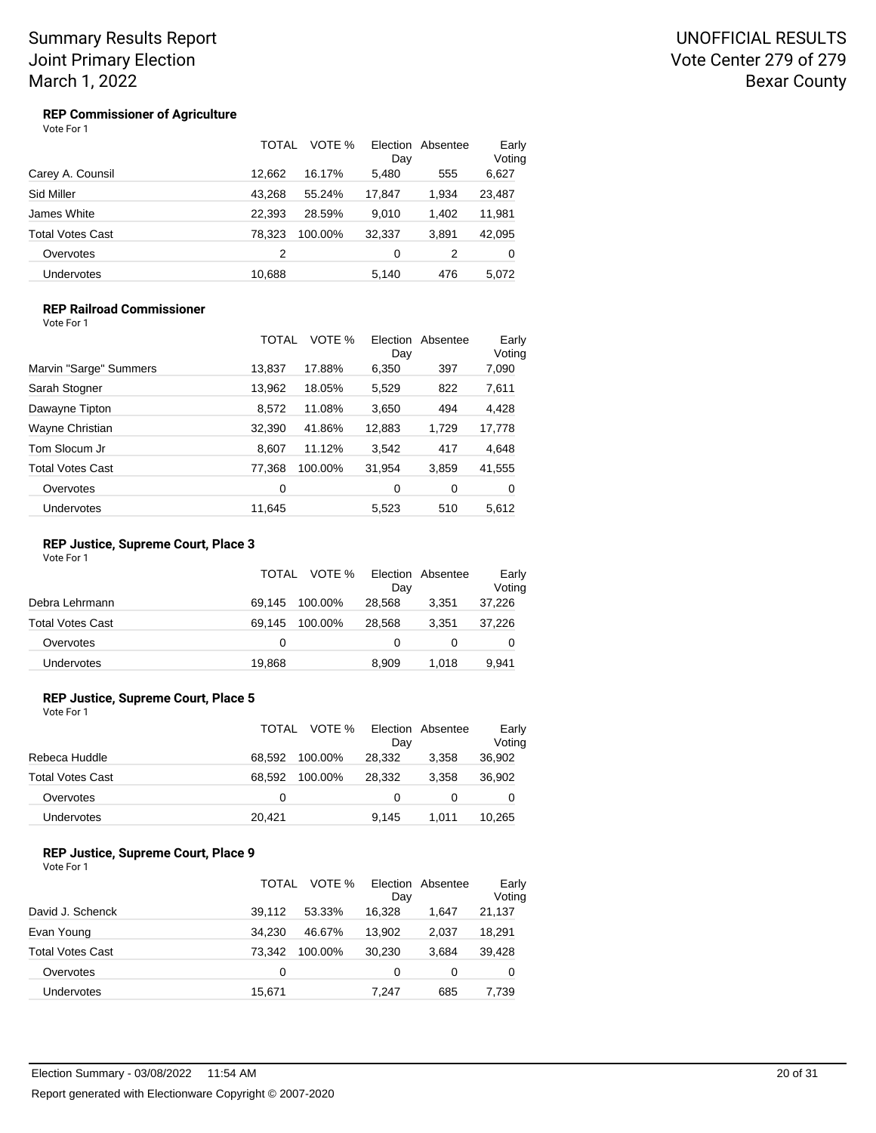## UNOFFICIAL RESULTS Vote Center 279 of 279 Bexar County

#### **REP Commissioner of Agriculture** Vote For 1

|                         | TOTAL  | VOTE %  | Election<br>Day | Absentee | Early<br>Voting |
|-------------------------|--------|---------|-----------------|----------|-----------------|
| Carey A. Counsil        | 12.662 | 16.17%  | 5,480           | 555      | 6,627           |
| Sid Miller              | 43.268 | 55.24%  | 17,847          | 1,934    | 23,487          |
| James White             | 22.393 | 28.59%  | 9.010           | 1.402    | 11,981          |
| <b>Total Votes Cast</b> | 78.323 | 100.00% | 32.337          | 3.891    | 42,095          |
| Overvotes               | 2      |         | 0               | 2        | 0               |
| <b>Undervotes</b>       | 10,688 |         | 5.140           | 476      | 5.072           |

### **REP Railroad Commissioner** Vote For 1

|                         | TOTAL  | VOTE %  | Election<br>Day | Absentee | Early<br>Voting |
|-------------------------|--------|---------|-----------------|----------|-----------------|
| Marvin "Sarge" Summers  | 13,837 | 17.88%  | 6,350           | 397      | 7,090           |
| Sarah Stogner           | 13,962 | 18.05%  | 5,529           | 822      | 7,611           |
| Dawayne Tipton          | 8,572  | 11.08%  | 3,650           | 494      | 4,428           |
| Wayne Christian         | 32,390 | 41.86%  | 12,883          | 1,729    | 17,778          |
| Tom Slocum Jr           | 8,607  | 11.12%  | 3,542           | 417      | 4,648           |
| <b>Total Votes Cast</b> | 77,368 | 100.00% | 31,954          | 3,859    | 41,555          |
| Overvotes               | 0      |         | 0               | 0        | 0               |
| Undervotes              | 11.645 |         | 5,523           | 510      | 5.612           |

### **REP Justice, Supreme Court, Place 3**

Vote For 1

|                   |        | TOTAL VOTE % Election Absentee | Day    |       | Early<br>Voting |
|-------------------|--------|--------------------------------|--------|-------|-----------------|
| Debra Lehrmann    | 69.145 | 100.00%                        | 28.568 | 3.351 | 37,226          |
| Total Votes Cast  | 69.145 | 100.00%                        | 28.568 | 3.351 | 37,226          |
| Overvotes         | 0      |                                |        |       |                 |
| <b>Undervotes</b> | 19,868 |                                | 8.909  | 1.018 | 9,941           |

### **REP Justice, Supreme Court, Place 5**

| Vote For 1 |  |
|------------|--|
|            |  |

|                   | TOTAL  |         | VOTE % Election Absentee<br>Day |       | Early<br>Voting |
|-------------------|--------|---------|---------------------------------|-------|-----------------|
| Rebeca Huddle     | 68.592 | 100.00% | 28,332                          | 3.358 | 36,902          |
| Total Votes Cast  | 68.592 | 100.00% | 28.332                          | 3.358 | 36,902          |
| Overvotes         | 0      |         | 0                               |       |                 |
| <b>Undervotes</b> | 20,421 |         | 9,145                           | 1.011 | 10,265          |

#### **REP Justice, Supreme Court, Place 9** Vote For 1

|                         | TOTAL  | VOTE %  | Day    | Election Absentee | Early<br>Voting |
|-------------------------|--------|---------|--------|-------------------|-----------------|
| David J. Schenck        | 39.112 | 53.33%  | 16.328 | 1.647             | 21,137          |
| Evan Young              | 34.230 | 46.67%  | 13.902 | 2.037             | 18,291          |
| <b>Total Votes Cast</b> | 73.342 | 100.00% | 30.230 | 3.684             | 39,428          |
| Overvotes               | 0      |         | 0      | 0                 | 0               |
| <b>Undervotes</b>       | 15,671 |         | 7.247  | 685               | 7,739           |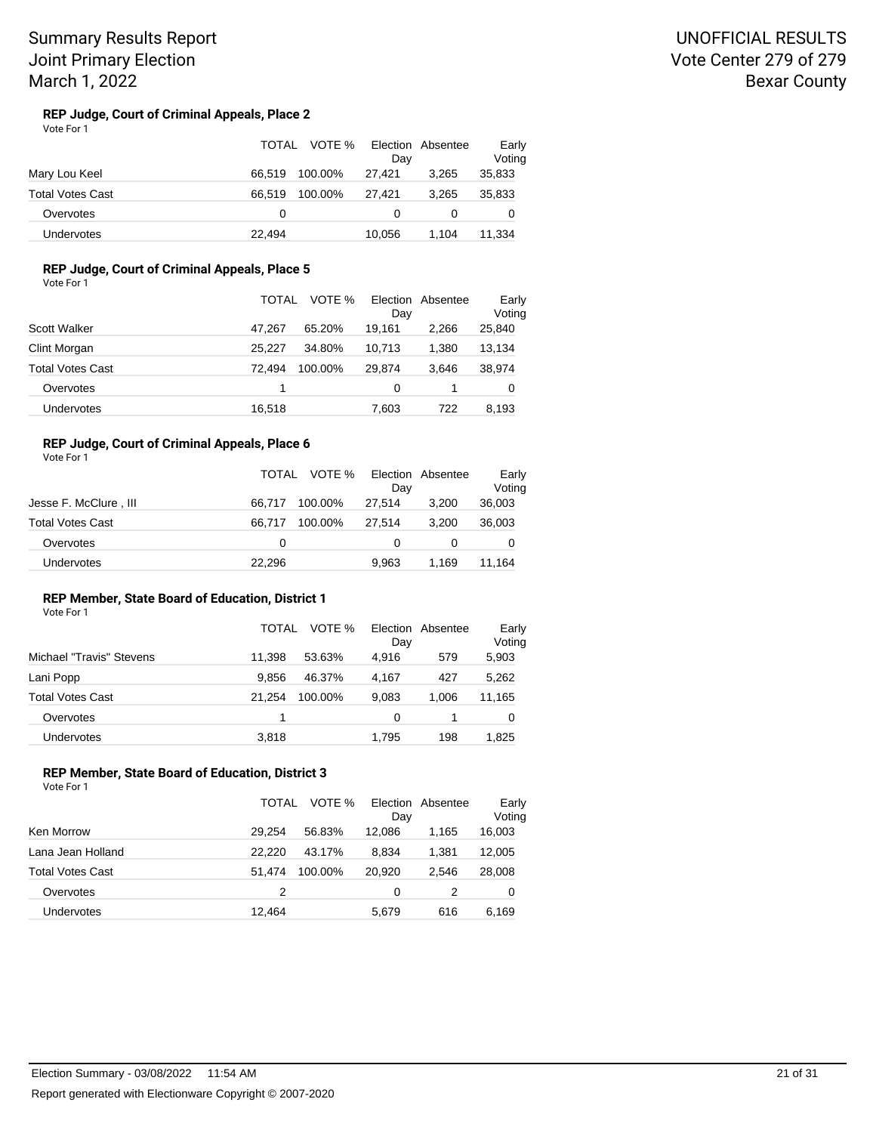#### **REP Judge, Court of Criminal Appeals, Place 2** Vote For 1

|                  | TOTAL  | VOTE %  | Dav      | Election Absentee | Early<br>Voting |  |
|------------------|--------|---------|----------|-------------------|-----------------|--|
| Mary Lou Keel    | 66.519 | 100.00% | 27.421   | 3.265             | 35,833          |  |
| Total Votes Cast | 66.519 | 100.00% | 27.421   | 3.265             | 35,833          |  |
| Overvotes        | 0      |         | $\Omega$ |                   | O               |  |
| Undervotes       | 22,494 |         | 10.056   | 1.104             | 11.334          |  |

## **REP Judge, Court of Criminal Appeals, Place 5**

Vote For 1

|                         | TOTAL  | VOTE %  | Day    | Election Absentee | Early<br>Voting |
|-------------------------|--------|---------|--------|-------------------|-----------------|
| Scott Walker            | 47.267 | 65.20%  | 19.161 | 2.266             | 25,840          |
| Clint Morgan            | 25.227 | 34.80%  | 10.713 | 1.380             | 13,134          |
| <b>Total Votes Cast</b> | 72.494 | 100.00% | 29.874 | 3.646             | 38,974          |
| Overvotes               |        |         | 0      |                   | 0               |
| Undervotes              | 16,518 |         | 7,603  | 722               | 8,193           |

## **REP Judge, Court of Criminal Appeals, Place 6**

Vote For 1

|                         | TOTAL  | VOTE %<br>Day     | Election Absentee | Early<br>Voting |
|-------------------------|--------|-------------------|-------------------|-----------------|
| Jesse F. McClure, III   | 66.717 | 100.00%<br>27.514 | 3.200             | 36,003          |
| <b>Total Votes Cast</b> | 66.717 | 100.00%<br>27.514 | 3.200             | 36,003          |
| Overvotes               | 0      |                   |                   |                 |
| <b>Undervotes</b>       | 22,296 | 9.963             | 1.169             | 11.164          |

#### **REP Member, State Board of Education, District 1** Vote For 1

|                          | TOTAL  | VOTE %  | Day   | Election Absentee | Early<br>Voting |
|--------------------------|--------|---------|-------|-------------------|-----------------|
| Michael "Travis" Stevens | 11.398 | 53.63%  | 4.916 | 579               | 5,903           |
| Lani Popp                | 9.856  | 46.37%  | 4.167 | 427               | 5,262           |
| Total Votes Cast         | 21.254 | 100.00% | 9,083 | 1,006             | 11,165          |
| Overvotes                |        |         | 0     |                   | 0               |
| Undervotes               | 3,818  |         | 1.795 | 198               | 1,825           |

### **REP Member, State Board of Education, District 3**

|                   | TOTAL  | VOTE %  | Day    | Election Absentee | Early<br>Voting |
|-------------------|--------|---------|--------|-------------------|-----------------|
| Ken Morrow        | 29.254 | 56.83%  | 12.086 | 1.165             | 16,003          |
| Lana Jean Holland | 22.220 | 43.17%  | 8.834  | 1.381             | 12,005          |
| Total Votes Cast  | 51.474 | 100.00% | 20,920 | 2.546             | 28,008          |
| Overvotes         | 2      |         | 0      | 2                 | 0               |
| <b>Undervotes</b> | 12,464 |         | 5,679  | 616               | 6,169           |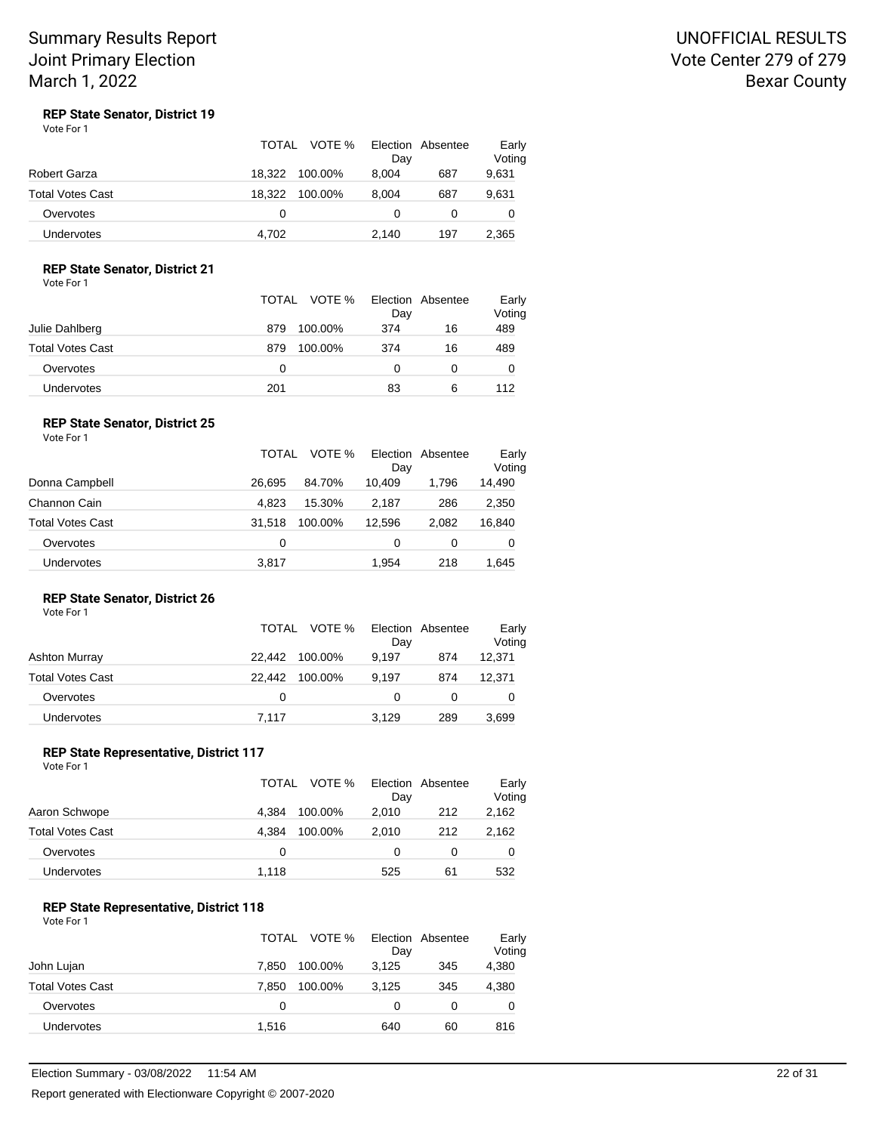## UNOFFICIAL RESULTS Vote Center 279 of 279 Bexar County

#### **REP State Senator, District 19** Vote For 1

|                         | VOTE %<br>TOTAL   | Election Absentee<br>Day | Early<br>Voting |
|-------------------------|-------------------|--------------------------|-----------------|
| Robert Garza            | 18.322<br>100.00% | 8.004<br>687             | 9,631           |
| <b>Total Votes Cast</b> | 18.322<br>100.00% | 687<br>8.004             | 9,631           |
| Overvotes               | 0                 | 0                        |                 |
| <b>Undervotes</b>       | 4.702             | 197<br>2.140             | 2,365           |

## **REP State Senator, District 21**

Vote For 1

|                  |     | TOTAL VOTE % | Election Absentee<br>Day |    | Early<br>Voting |
|------------------|-----|--------------|--------------------------|----|-----------------|
| Julie Dahlberg   | 879 | 100.00%      | 374                      | 16 | 489             |
| Total Votes Cast | 879 | 100.00%      | 374                      | 16 | 489             |
| Overvotes        | 0   |              |                          |    | 0               |
| Undervotes       | 201 |              | 83                       | 6  | 112             |

### **REP State Senator, District 25**

| Vote For 1        |        |         |          |                   |                 |
|-------------------|--------|---------|----------|-------------------|-----------------|
|                   | TOTAL  | VOTE %  | Day      | Election Absentee | Early<br>Voting |
| Donna Campbell    | 26.695 | 84.70%  | 10.409   | 1.796             | 14,490          |
| Channon Cain      | 4.823  | 15.30%  | 2,187    | 286               | 2,350           |
| Total Votes Cast  | 31.518 | 100.00% | 12,596   | 2.082             | 16,840          |
| Overvotes         | 0      |         | $\Omega$ | 0                 | 0               |
| <b>Undervotes</b> | 3.817  |         | 1.954    | 218               | 1.645           |

## **REP State Senator, District 26**

| Vote For 1 |  |
|------------|--|
|------------|--|

|                  | TOTAL  | VOTE %  | Day   | Election Absentee | Early<br>Voting |
|------------------|--------|---------|-------|-------------------|-----------------|
| Ashton Murray    | 22.442 | 100.00% | 9.197 | 874               | 12,371          |
| Total Votes Cast | 22.442 | 100.00% | 9.197 | 874               | 12,371          |
| Overvotes        | 0      |         | 0     |                   | 0               |
| Undervotes       | 7.117  |         | 3,129 | 289               | 3,699           |

#### **REP State Representative, District 117** Vote For 1

|                   | <b>TOTAL</b> | VOTE %  | Day   | Election Absentee | Early<br>Voting |
|-------------------|--------------|---------|-------|-------------------|-----------------|
| Aaron Schwope     | 4.384        | 100.00% | 2.010 | 212               | 2,162           |
| Total Votes Cast  | 4.384        | 100.00% | 2.010 | 212               | 2,162           |
| Overvotes         | 0            |         | 0     | 0                 | 0               |
| <b>Undervotes</b> | 1,118        |         | 525   | 61                | 532             |

#### **REP State Representative, District 118** Vote For 1

|                         | TOTAL | VOTE %  | Day   | Election Absentee | Early<br>Voting |
|-------------------------|-------|---------|-------|-------------------|-----------------|
| John Lujan              | 7.850 | 100.00% | 3.125 | 345               | 4,380           |
| <b>Total Votes Cast</b> | 7.850 | 100.00% | 3.125 | 345               | 4,380           |
| Overvotes               | 0     |         | Ω     |                   | O               |
| Undervotes              | 1,516 |         | 640   | 60                | 816             |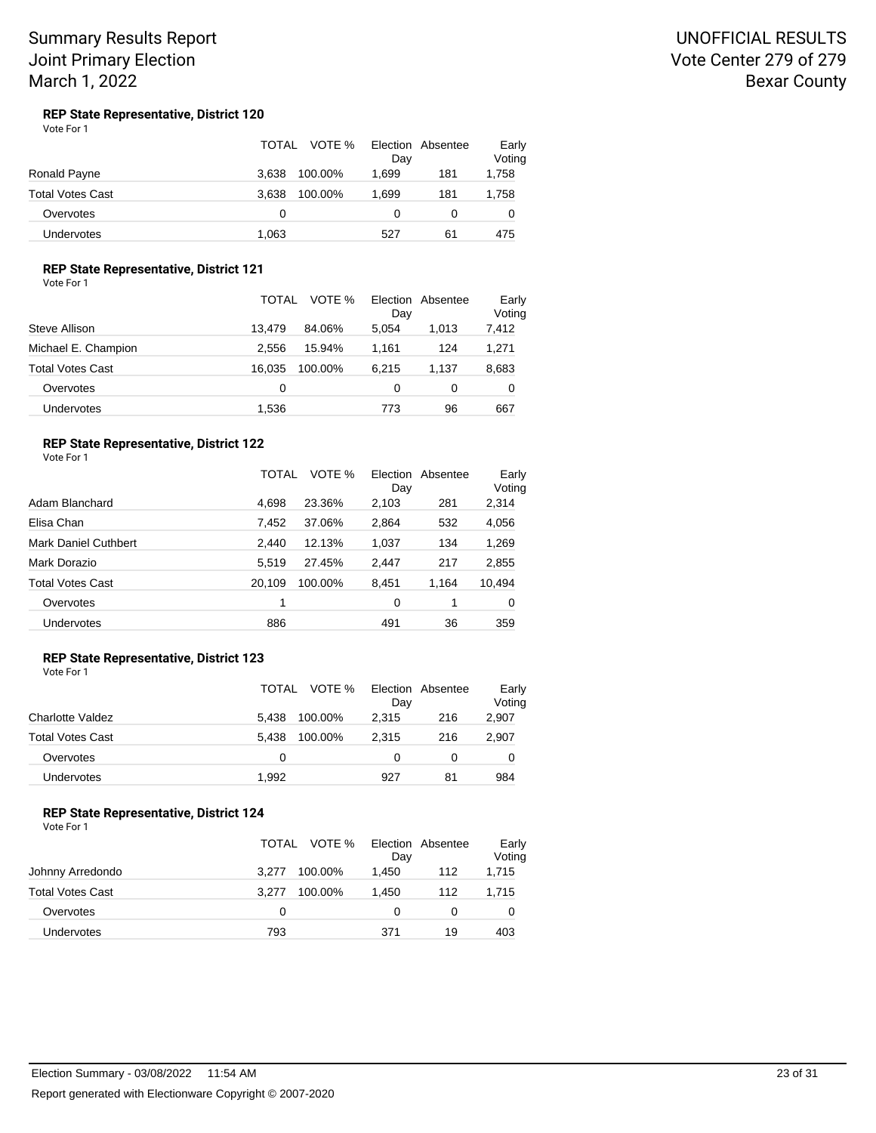## UNOFFICIAL RESULTS Vote Center 279 of 279 Bexar County

#### **REP State Representative, District 120** Vote For 1

|                         | VOTE %<br>TOTAL  | Election Absentee<br>Day | Early<br>Voting |
|-------------------------|------------------|--------------------------|-----------------|
| Ronald Payne            | 3.638<br>100.00% | 1.699<br>181             | 1,758           |
| <b>Total Votes Cast</b> | 100.00%<br>3.638 | 1.699<br>181             | 1,758           |
| Overvotes               | 0                | 0                        |                 |
| Undervotes              | 1.063            | 527<br>61                | 475             |

### **REP State Representative, District 121**

Vote For 1

|                     | <b>TOTAL</b><br>VOTE % | Election<br>Absentee<br>Day | Early<br>Voting |
|---------------------|------------------------|-----------------------------|-----------------|
| Steve Allison       | 13.479<br>84.06%       | 5.054<br>1.013              | 7,412           |
| Michael E. Champion | 15.94%<br>2.556        | 124<br>1.161                | 1,271           |
| Total Votes Cast    | 16.035<br>100.00%      | 6.215<br>1.137              | 8,683           |
| Overvotes           | 0                      | 0<br>0                      | 0               |
| Undervotes          | 1,536                  | 96<br>773                   | 667             |

## **REP State Representative, District 122**

Vote For 1

|                             | TOTAL  | VOTE %  | Election<br>Day | Absentee | Early<br>Voting |
|-----------------------------|--------|---------|-----------------|----------|-----------------|
| Adam Blanchard              | 4,698  | 23.36%  | 2,103           | 281      | 2,314           |
| Elisa Chan                  | 7.452  | 37.06%  | 2,864           | 532      | 4,056           |
| <b>Mark Daniel Cuthbert</b> | 2.440  | 12.13%  | 1,037           | 134      | 1,269           |
| Mark Dorazio                | 5,519  | 27.45%  | 2,447           | 217      | 2,855           |
| <b>Total Votes Cast</b>     | 20.109 | 100.00% | 8,451           | 1.164    | 10,494          |
| Overvotes                   | 1      |         | 0               | 1        | 0               |
| <b>Undervotes</b>           | 886    |         | 491             | 36       | 359             |

#### **REP State Representative, District 123** Vote For 1

|                         | TOTAL | VOTE %  | Day   | Election Absentee | Early<br>Voting |
|-------------------------|-------|---------|-------|-------------------|-----------------|
| Charlotte Valdez        | 5.438 | 100.00% | 2.315 | 216               | 2,907           |
| <b>Total Votes Cast</b> | 5.438 | 100.00% | 2.315 | 216               | 2,907           |
| Overvotes               | 0     |         | 0     | 0                 | 0               |
| Undervotes              | 1.992 |         | 927   | 81                | 984             |

## **REP State Representative, District 124**

|                  | TOTAL VOTE %     | Election Absentee<br>Day | Early<br>Voting |
|------------------|------------------|--------------------------|-----------------|
| Johnny Arredondo | 100.00%<br>3.277 | 1.450<br>112             | 1,715           |
| Total Votes Cast | 100.00%<br>3.277 | 1.450<br>112             | 1,715           |
| Overvotes        | <sup>0</sup>     |                          | 0               |
| Undervotes       | 793              | 371<br>19                | 403             |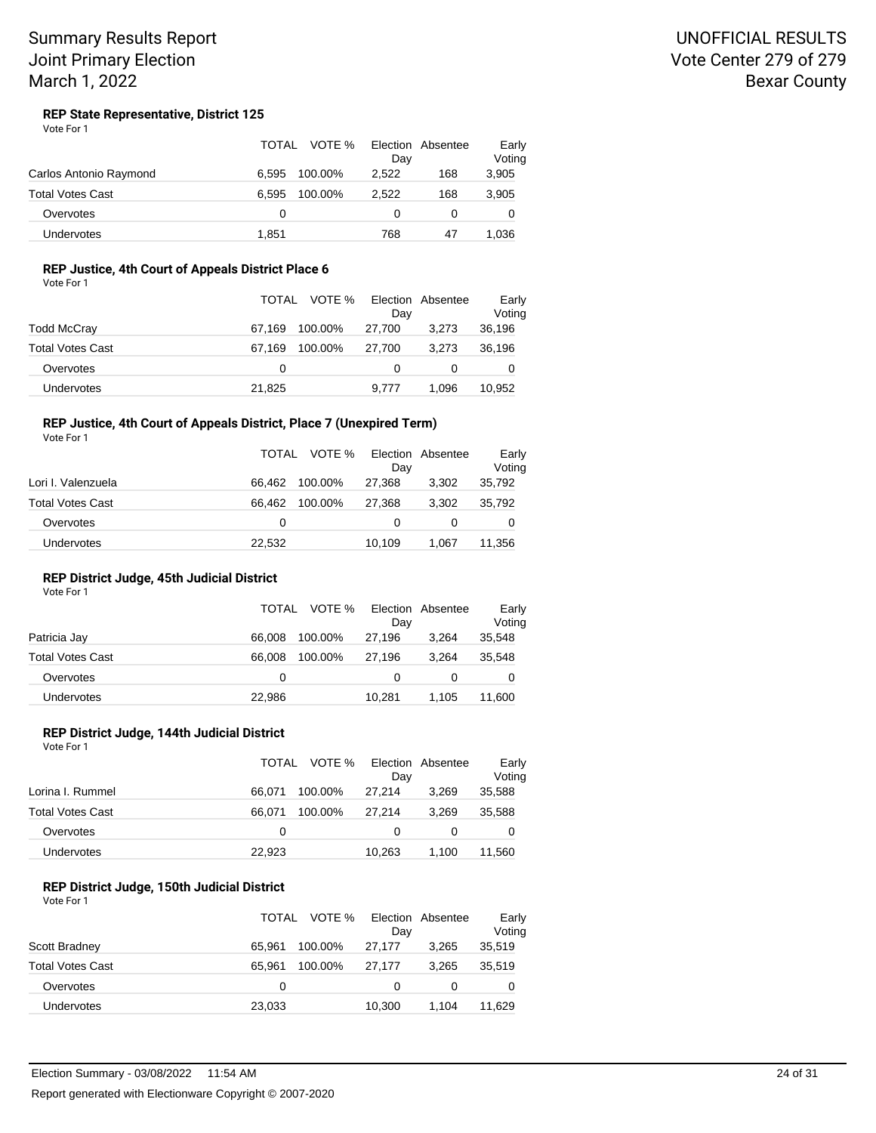## UNOFFICIAL RESULTS Vote Center 279 of 279 Bexar County

#### **REP State Representative, District 125** Vote For 1

|                         | <b>TOTAL</b><br>VOTE % | Election Absentee<br>Day | Early<br>Voting |
|-------------------------|------------------------|--------------------------|-----------------|
| Carlos Antonio Raymond  | 100.00%<br>6.595       | 2.522<br>168             | 3,905           |
| <b>Total Votes Cast</b> | 100.00%<br>6.595       | 168<br>2.522             | 3,905           |
| Overvotes               | 0                      | 0                        |                 |
| Undervotes              | 1.851                  | 768<br>47                | 1.036           |

## **REP Justice, 4th Court of Appeals District Place 6**

| Vote For 1 |
|------------|
|------------|

|                   |        | TOTAL VOTE % | Dav    | Election Absentee | Early<br>Voting |
|-------------------|--------|--------------|--------|-------------------|-----------------|
| Todd McCray       | 67.169 | 100.00%      | 27.700 | 3,273             | 36,196          |
| Total Votes Cast  | 67.169 | 100.00%      | 27.700 | 3.273             | 36,196          |
| Overvotes         | 0      |              | 0      |                   | 0               |
| <b>Undervotes</b> | 21,825 |              | 9.777  | 1.096             | 10,952          |

### **REP Justice, 4th Court of Appeals District, Place 7 (Unexpired Term)**

Vote For 1

|                    | TOTAL  | VOTE %  | Day    | Election Absentee | Early<br>Voting |
|--------------------|--------|---------|--------|-------------------|-----------------|
| Lori I. Valenzuela | 66.462 | 100.00% | 27,368 | 3.302             | 35,792          |
| Total Votes Cast   | 66.462 | 100.00% | 27.368 | 3.302             | 35.792          |
| Overvotes          | 0      |         |        |                   | 0               |
| <b>Undervotes</b>  | 22,532 |         | 10,109 | 1.067             | 11,356          |

### **REP District Judge, 45th Judicial District**

Vote For 1

|                         | TOTAL  | VOTE %  | Dav    | Election Absentee | Early<br>Voting |
|-------------------------|--------|---------|--------|-------------------|-----------------|
| Patricia Jay            | 66.008 | 100.00% | 27.196 | 3.264             | 35,548          |
| <b>Total Votes Cast</b> | 66.008 | 100.00% | 27.196 | 3.264             | 35,548          |
| Overvotes               | 0      |         | 0      |                   | 0               |
| <b>Undervotes</b>       | 22,986 |         | 10.281 | 1.105             | 11,600          |

## **REP District Judge, 144th Judicial District**

| Vote For 1              | TOTAI  | VOTE %  | Day    | Election Absentee | Early<br>Voting |
|-------------------------|--------|---------|--------|-------------------|-----------------|
|                         |        |         |        |                   |                 |
| Lorina I. Rummel        | 66.071 | 100.00% | 27.214 | 3.269             | 35,588          |
| <b>Total Votes Cast</b> | 66.071 | 100.00% | 27.214 | 3.269             | 35,588          |
| Overvotes               | 0      |         | 0      | 0                 |                 |
| <b>Undervotes</b>       | 22.923 |         | 10.263 | 1.100             | 11,560          |

#### **REP District Judge, 150th Judicial District** Vote For 1

|                         | TOTAL  | VOTE %  | Day    | Election Absentee | Early<br>Voting |
|-------------------------|--------|---------|--------|-------------------|-----------------|
| Scott Bradney           | 65.961 | 100.00% | 27.177 | 3.265             | 35,519          |
| <b>Total Votes Cast</b> | 65.961 | 100.00% | 27.177 | 3.265             | 35,519          |
| Overvotes               | 0      |         | 0      | 0                 |                 |
| <b>Undervotes</b>       | 23,033 |         | 10,300 | 1.104             | 11,629          |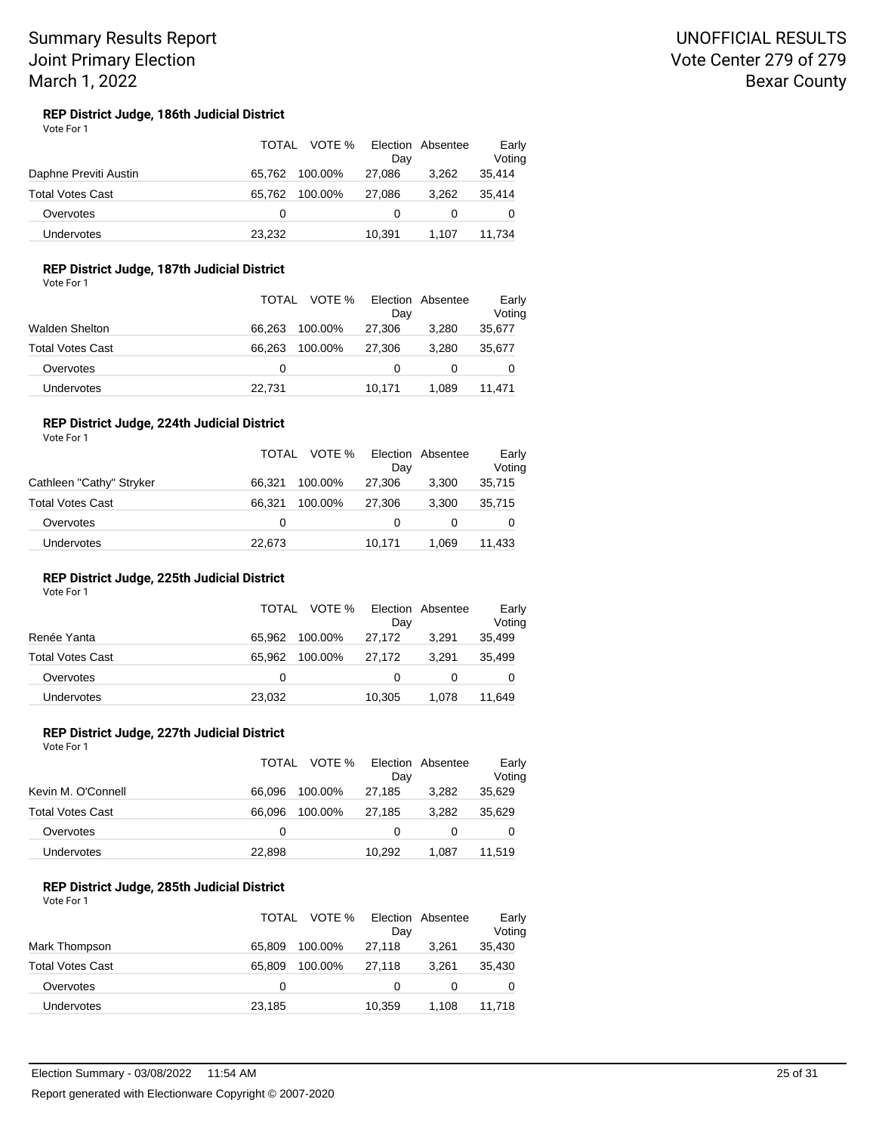#### **REP District Judge, 186th Judicial District** Vote For 1

|                       | TOTAL  | VOTE %  | Dav    | Election Absentee | Early<br>Voting |
|-----------------------|--------|---------|--------|-------------------|-----------------|
| Daphne Previti Austin | 65.762 | 100.00% | 27.086 | 3.262             | 35,414          |
| Total Votes Cast      | 65.762 | 100.00% | 27.086 | 3.262             | 35.414          |
| Overvotes             | 0      |         |        |                   | 0               |
| <b>Undervotes</b>     | 23,232 |         | 10.391 | 1.107             | 11,734          |

## **REP District Judge, 187th Judicial District**

Vote For 1

|                   |        | TOTAL VOTE % | Election Absentee<br>Dav |       | Early<br>Voting |
|-------------------|--------|--------------|--------------------------|-------|-----------------|
| Walden Shelton    | 66.263 | 100.00%      | 27,306                   | 3.280 | 35,677          |
| Total Votes Cast  | 66.263 | 100.00%      | 27.306                   | 3.280 | 35,677          |
| Overvotes         | 0      |              |                          |       | 0               |
| <b>Undervotes</b> | 22,731 |              | 10.171                   | 1.089 | 11.471          |

### **REP District Judge, 224th Judicial District**

| Vote For 1               | TOTAL  | VOTE %  |        | Election Absentee |                 |
|--------------------------|--------|---------|--------|-------------------|-----------------|
|                          |        |         | Dav    |                   | Early<br>Voting |
| Cathleen "Cathy" Stryker | 66.321 | 100.00% | 27.306 | 3.300             | 35,715          |
| <b>Total Votes Cast</b>  | 66.321 | 100.00% | 27.306 | 3.300             | 35.715          |
| Overvotes                | 0      |         | 0      | 0                 | 0               |
| Undervotes               | 22,673 |         | 10.171 | 1.069             | 11,433          |

### **REP District Judge, 225th Judicial District**

Vote For 1

|                   |        | TOTAL VOTE % Election Absentee | Dav      |       | Early<br>Voting |
|-------------------|--------|--------------------------------|----------|-------|-----------------|
| Renée Yanta       | 65.962 | 100.00%                        | 27.172   | 3.291 | 35,499          |
| Total Votes Cast  | 65.962 | 100.00%                        | 27.172   | 3.291 | 35,499          |
| Overvotes         | 0      |                                | $\Omega$ |       | 0               |
| <b>Undervotes</b> | 23,032 |                                | 10,305   | 1.078 | 11,649          |

#### **REP District Judge, 227th Judicial District** Vote For 1

|                    |          | TOTAL VOTE % | Election Absentee<br>Dav |       | Early<br>Voting |
|--------------------|----------|--------------|--------------------------|-------|-----------------|
| Kevin M. O'Connell | 66.096   | 100.00%      | 27.185                   | 3.282 | 35,629          |
| Total Votes Cast   | 66.096   | 100.00%      | 27.185                   | 3.282 | 35,629          |
| Overvotes          | $\Omega$ |              | 0                        |       | 0               |
| Undervotes         | 22,898   |              | 10.292                   | 1.087 | 11.519          |

#### **REP District Judge, 285th Judicial District** Vote For 1

|                         | TOTAL  | VOTE %  | Day    | Election Absentee | Early<br>Voting |
|-------------------------|--------|---------|--------|-------------------|-----------------|
| Mark Thompson           | 65.809 | 100.00% | 27.118 | 3.261             | 35,430          |
| <b>Total Votes Cast</b> | 65.809 | 100.00% | 27.118 | 3.261             | 35,430          |
| Overvotes               | 0      |         | 0      | O                 |                 |
| <b>Undervotes</b>       | 23,185 |         | 10,359 | 1.108             | 11,718          |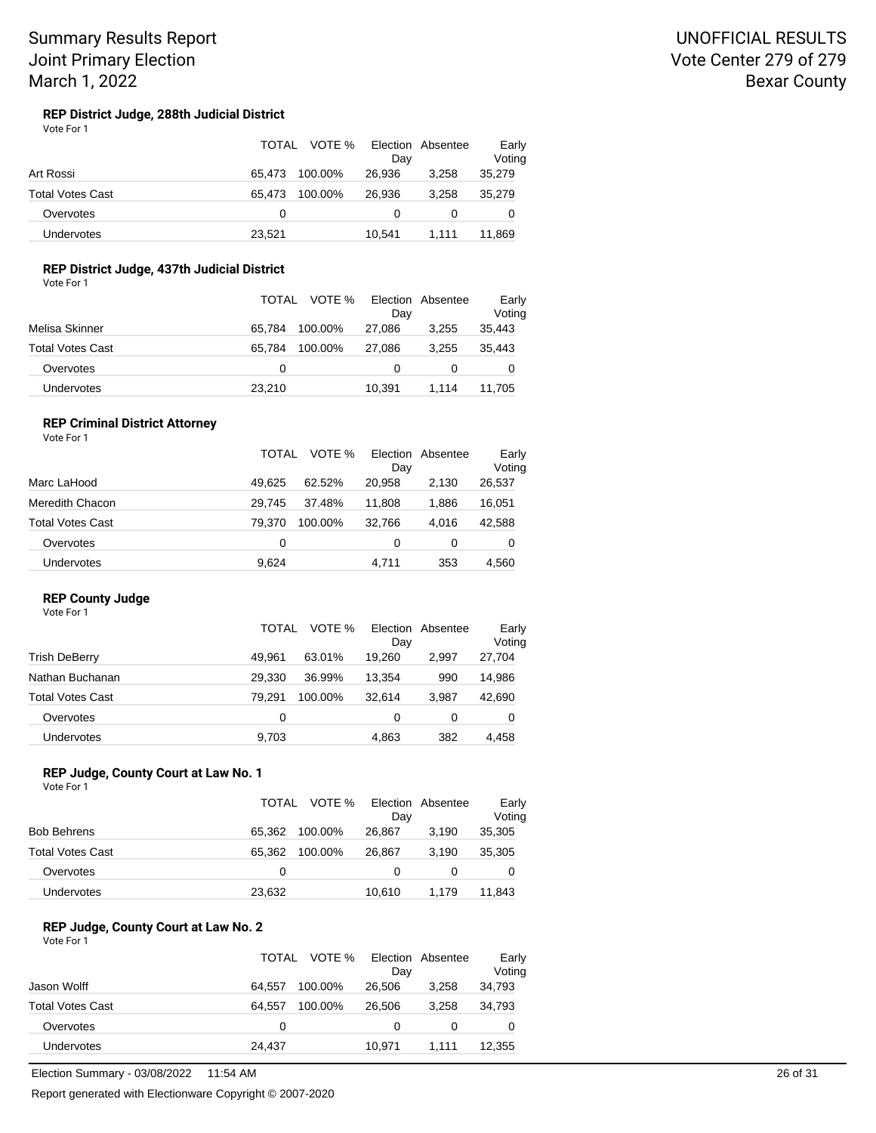#### **REP District Judge, 288th Judicial District** Vote For 1

|                         | TOTAL<br>VOTE %   | Election Absentee<br>Day | Early<br>Voting |
|-------------------------|-------------------|--------------------------|-----------------|
| Art Rossi               | 100.00%<br>65.473 | 26,936<br>3.258          | 35,279          |
| <b>Total Votes Cast</b> | 100.00%<br>65.473 | 3.258<br>26.936          | 35.279          |
| Overvotes               | 0                 |                          | 0               |
| <b>Undervotes</b>       | 23,521            | 10.541<br>1.111          | 11,869          |

## **REP District Judge, 437th Judicial District**

Vote For 1

|                   |        | TOTAL VOTE % Election Absentee<br>Dav |       | Early<br>Voting |
|-------------------|--------|---------------------------------------|-------|-----------------|
| Melisa Skinner    | 65.784 | 100.00%<br>27.086                     | 3.255 | 35,443          |
| Total Votes Cast  | 65.784 | 100.00%<br>27.086                     | 3.255 | 35,443          |
| Overvotes         | 0      |                                       |       | 0               |
| <b>Undervotes</b> | 23,210 | 10.391                                | 1.114 | 11.705          |

## **REP Criminal District Attorney**

| Vote For 1       |        |         |        |                   |                 |
|------------------|--------|---------|--------|-------------------|-----------------|
|                  | TOTAL  | VOTE %  | Day    | Election Absentee | Early<br>Voting |
| Marc LaHood      | 49.625 | 62.52%  | 20.958 | 2.130             | 26,537          |
| Meredith Chacon  | 29.745 | 37.48%  | 11.808 | 1,886             | 16,051          |
| Total Votes Cast | 79.370 | 100.00% | 32,766 | 4.016             | 42,588          |
| Overvotes        | 0      |         | 0      | 0                 | 0               |
| Undervotes       | 9.624  |         | 4.711  | 353               | 4.560           |

## **REP County Judge**

| Vote For 1              |        |                           |          |                 |
|-------------------------|--------|---------------------------|----------|-----------------|
|                         | TOTAL  | VOTE %<br>Election<br>Day | Absentee | Early<br>Voting |
| <b>Trish DeBerry</b>    | 49.961 | 63.01%<br>19.260          | 2.997    | 27,704          |
| Nathan Buchanan         | 29.330 | 13.354<br>36.99%          | 990      | 14,986          |
| <b>Total Votes Cast</b> | 79.291 | 32.614<br>100.00%         | 3.987    | 42,690          |
| Overvotes               | 0      | 0                         | 0        | 0               |
| Undervotes              | 9.703  | 4.863                     | 382      | 4.458           |

### **REP Judge, County Court at Law No. 1**

Vote For 1

|                   | TOTAL  | VOTE %  | Election Absentee<br>Dav |       | Early<br>Voting |
|-------------------|--------|---------|--------------------------|-------|-----------------|
| Bob Behrens       | 65.362 | 100.00% | 26.867                   | 3.190 | 35,305          |
| Total Votes Cast  | 65.362 | 100.00% | 26.867                   | 3.190 | 35,305          |
| Overvotes         | 0      |         | 0                        |       |                 |
| <b>Undervotes</b> | 23,632 |         | 10,610                   | 1.179 | 11.843          |

#### **REP Judge, County Court at Law No. 2** Vote For 1

|                   | TOTAL  | VOTE %  | Dav    | Election Absentee | Early<br>Voting |
|-------------------|--------|---------|--------|-------------------|-----------------|
| Jason Wolff       | 64.557 | 100.00% | 26,506 | 3.258             | 34,793          |
| Total Votes Cast  | 64.557 | 100.00% | 26,506 | 3.258             | 34,793          |
| Overvotes         | 0      |         |        |                   | 0               |
| <b>Undervotes</b> | 24,437 |         | 10.971 | 1.111             | 12,355          |

Election Summary - 03/08/2022 11:54 AM 26 of 31

Report generated with Electionware Copyright © 2007-2020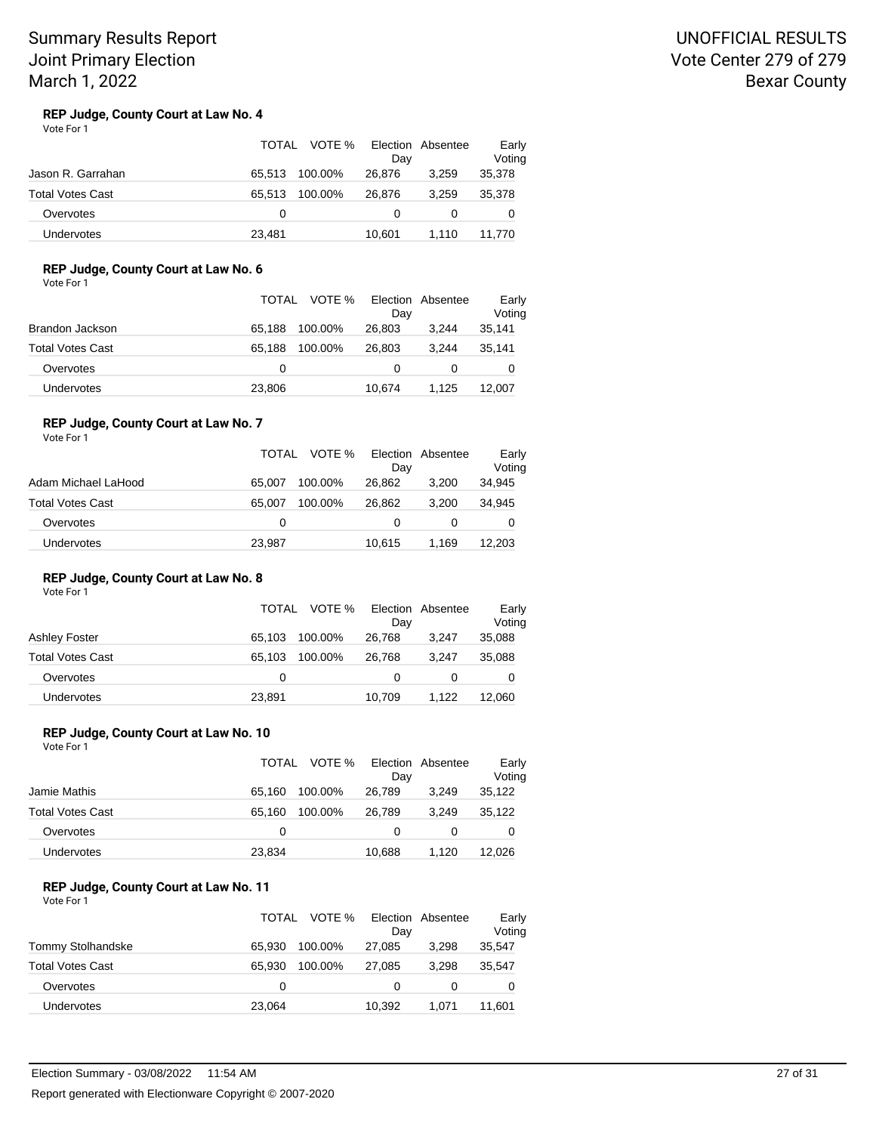## UNOFFICIAL RESULTS Vote Center 279 of 279 Bexar County

#### **REP Judge, County Court at Law No. 4** Vote For 1

|                         | TOTAL  | VOTE %  | Day    | Election Absentee | Early<br>Voting |
|-------------------------|--------|---------|--------|-------------------|-----------------|
| Jason R. Garrahan       | 65.513 | 100.00% | 26.876 | 3.259             | 35,378          |
| <b>Total Votes Cast</b> | 65.513 | 100.00% | 26.876 | 3.259             | 35,378          |
| Overvotes               | 0      |         |        |                   |                 |
| <b>Undervotes</b>       | 23,481 |         | 10.601 | 1.110             | 11.770          |

## **REP Judge, County Court at Law No. 6**

Vote For 1

|                   |        | TOTAL VOTE % | Election Absentee<br>Day |       | Early<br>Voting |
|-------------------|--------|--------------|--------------------------|-------|-----------------|
| Brandon Jackson   | 65.188 | 100.00%      | 26,803                   | 3.244 | 35,141          |
| Total Votes Cast  | 65.188 | 100.00%      | 26.803                   | 3.244 | 35.141          |
| Overvotes         | 0      |              |                          |       | 0               |
| <b>Undervotes</b> | 23,806 |              | 10.674                   | 1.125 | 12.007          |

#### **REP Judge, County Court at Law No. 7** Vote For 1

|                         | TOTAL  | VOTE %  | Dav    | Election Absentee | Early<br>Voting |
|-------------------------|--------|---------|--------|-------------------|-----------------|
| Adam Michael LaHood     | 65.007 | 100.00% | 26,862 | 3.200             | 34,945          |
| <b>Total Votes Cast</b> | 65.007 | 100.00% | 26.862 | 3.200             | 34.945          |
| Overvotes               | 0      |         | 0      |                   | 0               |
| <b>Undervotes</b>       | 23,987 |         | 10.615 | 1.169             | 12,203          |

### **REP Judge, County Court at Law No. 8**

Vote For 1

|                         | TOTAL  | VOTE %  | Election Absentee<br>Dav |       | Early<br>Voting |
|-------------------------|--------|---------|--------------------------|-------|-----------------|
| <b>Ashley Foster</b>    | 65.103 | 100.00% | 26.768                   | 3.247 | 35,088          |
| <b>Total Votes Cast</b> | 65.103 | 100.00% | 26.768                   | 3.247 | 35,088          |
| Overvotes               | 0      |         | 0                        |       | O               |
| <b>Undervotes</b>       | 23,891 |         | 10,709                   | 1.122 | 12,060          |

### **REP Judge, County Court at Law No. 10**

| Vote For 1       |          |              |          |                   |                 |
|------------------|----------|--------------|----------|-------------------|-----------------|
|                  |          | TOTAL VOTE % | Dav      | Election Absentee | Early<br>Voting |
| Jamie Mathis     | 65.160   | 100.00%      | 26,789   | 3.249             | 35,122          |
| Total Votes Cast | 65.160   | 100.00%      | 26,789   | 3.249             | 35,122          |
| Overvotes        | $\Omega$ |              | $\Omega$ |                   |                 |
|                  |          |              |          |                   |                 |

#### **REP Judge, County Court at Law No. 11** Vote For 1

|                         | <b>TOTAL</b> | VOTE %  | Day    | Election Absentee | Early<br>Voting |
|-------------------------|--------------|---------|--------|-------------------|-----------------|
| Tommy Stolhandske       | 65.930       | 100.00% | 27.085 | 3.298             | 35,547          |
| <b>Total Votes Cast</b> | 65.930       | 100.00% | 27.085 | 3.298             | 35.547          |
| Overvotes               | 0            |         | 0      | 0                 |                 |
| Undervotes              | 23,064       |         | 10,392 | 1.071             | 11.601          |

Undervotes 23,834 10,688 1,120 12,026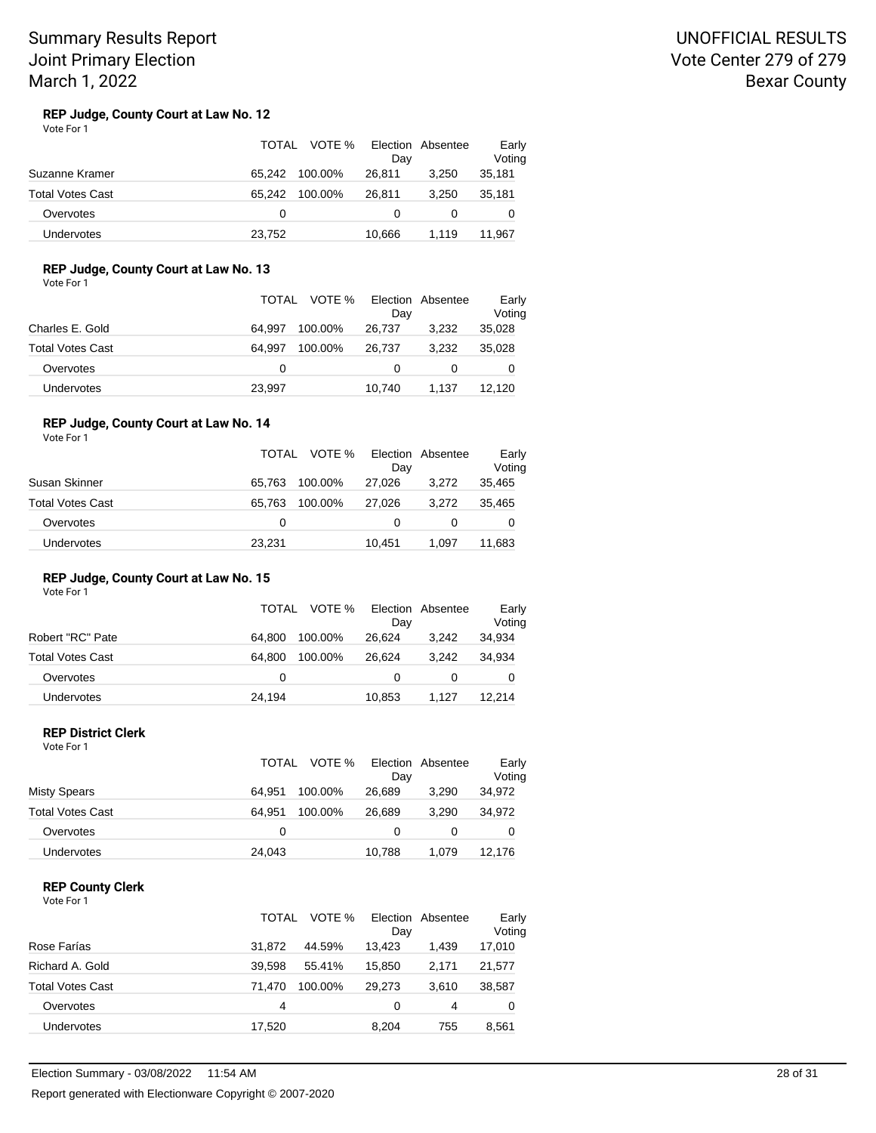## UNOFFICIAL RESULTS Vote Center 279 of 279 Bexar County

#### **REP Judge, County Court at Law No. 12** Vote For 1

|                         | TOTAL  | VOTE %<br>Day     | Election Absentee | Early<br>Voting |
|-------------------------|--------|-------------------|-------------------|-----------------|
| Suzanne Kramer          | 65.242 | 100.00%<br>26.811 | 3.250             | 35,181          |
| <b>Total Votes Cast</b> | 65.242 | 100.00%<br>26.811 | 3.250             | 35,181          |
| Overvotes               | 0      |                   |                   |                 |
| <b>Undervotes</b>       | 23,752 | 10.666            | 1.119             | 11.967          |

## **REP Judge, County Court at Law No. 13**

Vote For 1

|                   | TOTAL VOTE %      | Election Absentee<br>Day |       | Early<br>Voting |
|-------------------|-------------------|--------------------------|-------|-----------------|
| Charles E. Gold   | 64.997<br>100.00% | 26,737                   | 3.232 | 35,028          |
| Total Votes Cast  | 64.997<br>100.00% | 26.737                   | 3.232 | 35,028          |
| Overvotes         | 0                 |                          |       | 0               |
| <b>Undervotes</b> | 23,997            | 10.740                   | 1.137 | 12.120          |

#### **REP Judge, County Court at Law No. 14** Vote For 1

|                         | TOTAL  | VOTE %  | Dav    | Election Absentee | Early<br>Voting |
|-------------------------|--------|---------|--------|-------------------|-----------------|
| Susan Skinner           | 65.763 | 100.00% | 27.026 | 3.272             | 35,465          |
| <b>Total Votes Cast</b> | 65.763 | 100.00% | 27.026 | 3.272             | 35,465          |
| Overvotes               | 0      |         | 0      |                   | 0               |
| Undervotes              | 23,231 |         | 10.451 | 1.097             | 11,683          |

### **REP Judge, County Court at Law No. 15**

Vote For 1

|                         |        | TOTAL VOTE % | Election Absentee<br>Dav |       | Early<br>Voting |
|-------------------------|--------|--------------|--------------------------|-------|-----------------|
| Robert "RC" Pate        | 64.800 | 100.00%      | 26.624                   | 3.242 | 34,934          |
| <b>Total Votes Cast</b> | 64.800 | 100.00%      | 26.624                   | 3.242 | 34.934          |
| Overvotes               | 0      |              | $\Omega$                 |       | 0               |
| Undervotes              | 24,194 |              | 10,853                   | 1.127 | 12.214          |

## **REP District Clerk**

| Vote For 1 |  |
|------------|--|
|------------|--|

|                         | TOTAL  | VOTE %  | Election<br>Day | Absentee | Early<br>Voting |
|-------------------------|--------|---------|-----------------|----------|-----------------|
| <b>Misty Spears</b>     | 64.951 | 100.00% | 26.689          | 3.290    | 34,972          |
| <b>Total Votes Cast</b> | 64.951 | 100.00% | 26.689          | 3.290    | 34,972          |
| Overvotes               | 0      |         |                 |          | O               |
| Undervotes              | 24,043 |         | 10,788          | 1.079    | 12,176          |

### **REP County Clerk**

| Vote For 1 |  |  |
|------------|--|--|
|------------|--|--|

|                         | TOTAL  | VOTE %  | Dav    | Election Absentee | Early<br>Voting |
|-------------------------|--------|---------|--------|-------------------|-----------------|
| Rose Farías             | 31.872 | 44.59%  | 13.423 | 1.439             | 17,010          |
| Richard A. Gold         | 39.598 | 55.41%  | 15.850 | 2.171             | 21,577          |
| <b>Total Votes Cast</b> | 71.470 | 100.00% | 29.273 | 3.610             | 38,587          |
| Overvotes               | 4      |         | 0      | 4                 | 0               |
| Undervotes              | 17,520 |         | 8.204  | 755               | 8,561           |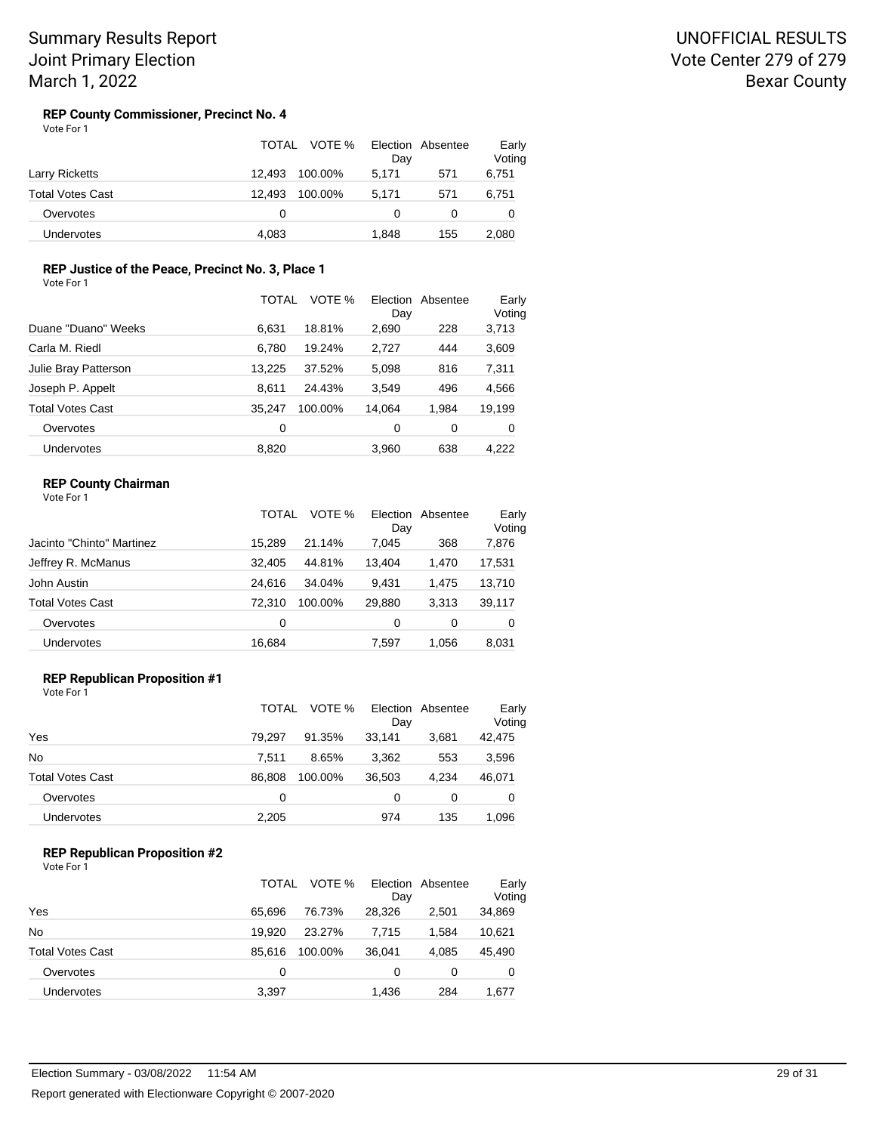#### **REP County Commissioner, Precinct No. 4** Vote For 1

|                         | TOTAL<br>VOTE %   | Election Absentee<br>Day | Early<br>Voting |
|-------------------------|-------------------|--------------------------|-----------------|
| Larry Ricketts          | 12.493<br>100.00% | 571<br>5.171             | 6,751           |
| <b>Total Votes Cast</b> | 100.00%<br>12.493 | 5.171<br>571             | 6,751           |
| Overvotes               | 0                 | $\mathbf{0}$             |                 |
| <b>Undervotes</b>       | 4,083             | 155<br>1.848             | 2.080           |

## **REP Justice of the Peace, Precinct No. 3, Place 1**

| Vote For 1 |  |
|------------|--|
|            |  |

|                         | TOTAL  | VOTE %  | Election<br>Day | Absentee | Early<br>Voting |
|-------------------------|--------|---------|-----------------|----------|-----------------|
| Duane "Duano" Weeks     | 6.631  | 18.81%  | 2,690           | 228      | 3,713           |
| Carla M. Riedl          | 6.780  | 19.24%  | 2.727           | 444      | 3,609           |
| Julie Bray Patterson    | 13.225 | 37.52%  | 5,098           | 816      | 7,311           |
| Joseph P. Appelt        | 8.611  | 24.43%  | 3,549           | 496      | 4,566           |
| <b>Total Votes Cast</b> | 35.247 | 100.00% | 14.064          | 1.984    | 19,199          |
| Overvotes               | 0      |         | 0               | 0        | 0               |
| Undervotes              | 8.820  |         | 3.960           | 638      | 4.222           |

## **REP County Chairman**

| Vote For 1 |  |
|------------|--|
|------------|--|

|                           | TOTAL  | VOTE %  | Election<br>Day | Absentee | Early<br>Voting |
|---------------------------|--------|---------|-----------------|----------|-----------------|
| Jacinto "Chinto" Martinez | 15.289 | 21.14%  | 7.045           | 368      | 7,876           |
| Jeffrey R. McManus        | 32,405 | 44.81%  | 13.404          | 1,470    | 17,531          |
| John Austin               | 24.616 | 34.04%  | 9.431           | 1.475    | 13,710          |
| <b>Total Votes Cast</b>   | 72.310 | 100.00% | 29,880          | 3,313    | 39,117          |
| Overvotes                 | 0      |         | 0               | 0        | 0               |
| <b>Undervotes</b>         | 16,684 |         | 7.597           | 1.056    | 8,031           |

## **REP Republican Proposition #1**

Vote For 1

|                         | TOTAL  | VOTE %  | Day    | Election Absentee | Early<br>Voting |
|-------------------------|--------|---------|--------|-------------------|-----------------|
| Yes                     | 79.297 | 91.35%  | 33.141 | 3.681             | 42,475          |
| <b>No</b>               | 7.511  | 8.65%   | 3.362  | 553               | 3,596           |
| <b>Total Votes Cast</b> | 86.808 | 100.00% | 36.503 | 4.234             | 46,071          |
| Overvotes               | 0      |         | 0      | 0                 | 0               |
| Undervotes              | 2,205  |         | 974    | 135               | 1,096           |

## **REP Republican Proposition #2**

|                         | <b>TOTAL</b> | VOTE %  | Day    | Election Absentee | Early<br>Voting |
|-------------------------|--------------|---------|--------|-------------------|-----------------|
| Yes                     | 65.696       | 76.73%  | 28,326 | 2,501             | 34,869          |
| No                      | 19.920       | 23.27%  | 7.715  | 1.584             | 10,621          |
| <b>Total Votes Cast</b> | 85.616       | 100.00% | 36,041 | 4.085             | 45,490          |
| Overvotes               | O            |         | 0      | 0                 | 0               |
| Undervotes              | 3,397        |         | 1,436  | 284               | 1,677           |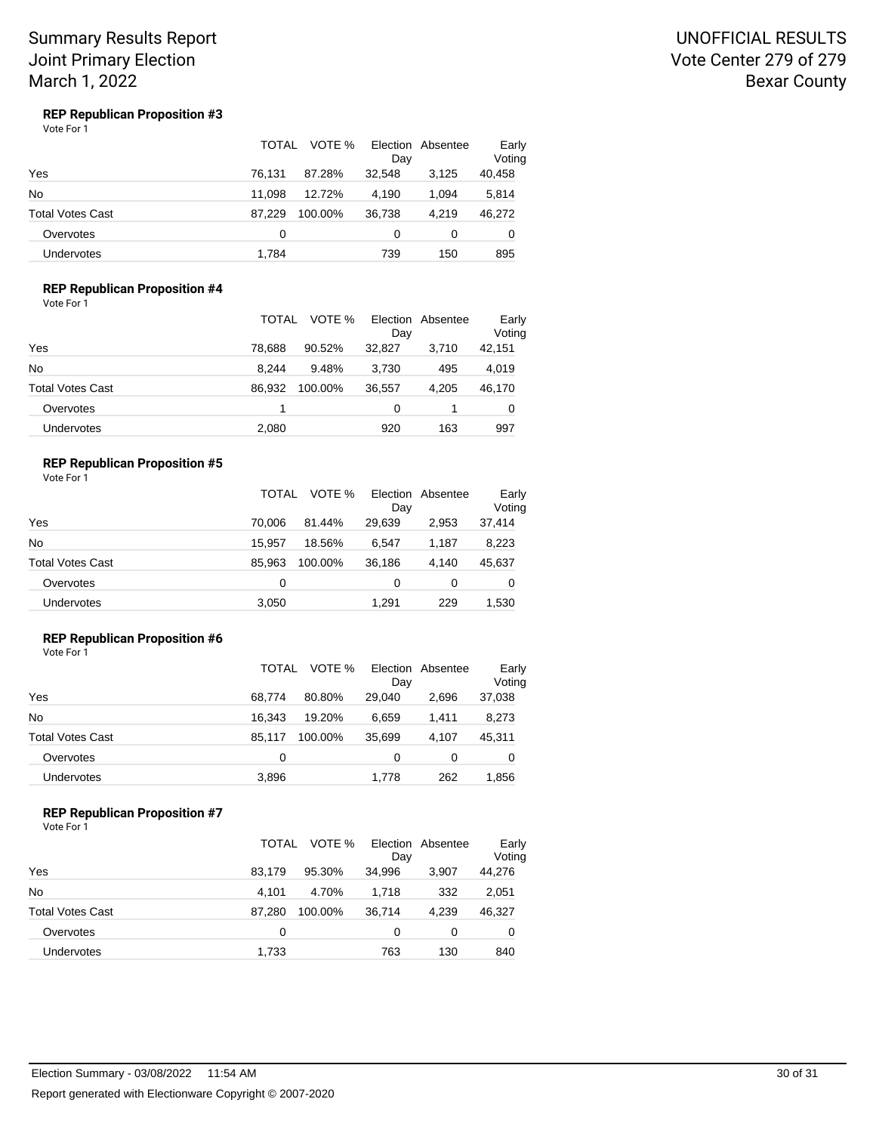## UNOFFICIAL RESULTS Vote Center 279 of 279 Bexar County

#### **REP Republican Proposition #3** Vote For 1

|                         | TOTAL  | VOTE %  | Day    | Election Absentee | Early<br>Voting |
|-------------------------|--------|---------|--------|-------------------|-----------------|
| Yes                     | 76,131 | 87.28%  | 32.548 | 3,125             | 40,458          |
| No                      | 11.098 | 12.72%  | 4.190  | 1.094             | 5,814           |
| <b>Total Votes Cast</b> | 87.229 | 100.00% | 36,738 | 4.219             | 46,272          |
| Overvotes               | 0      |         | 0      | 0                 | 0               |
| <b>Undervotes</b>       | 1.784  |         | 739    | 150               | 895             |

## **REP Republican Proposition #4**

Vote For 1

|                   | <b>TOTAL</b> | VOTE %  | Day    | Election Absentee | Early<br>Voting |
|-------------------|--------------|---------|--------|-------------------|-----------------|
| Yes               | 78.688       | 90.52%  | 32.827 | 3.710             | 42,151          |
| No                | 8.244        | 9.48%   | 3,730  | 495               | 4,019           |
| Total Votes Cast  | 86.932       | 100.00% | 36,557 | 4.205             | 46,170          |
| Overvotes         |              |         | 0      |                   | 0               |
| <b>Undervotes</b> | 2,080        |         | 920    | 163               | 997             |

### **REP Republican Proposition #5**

Vote For 1

|                  | <b>TOTAL</b> | VOTE %  | Day      | Election Absentee | Early<br>Voting |
|------------------|--------------|---------|----------|-------------------|-----------------|
| Yes              | 70.006       | 81.44%  | 29.639   | 2.953             | 37,414          |
| No               | 15.957       | 18.56%  | 6.547    | 1.187             | 8,223           |
| Total Votes Cast | 85.963       | 100.00% | 36,186   | 4.140             | 45,637          |
| Overvotes        | 0            |         | $\Omega$ | 0                 | 0               |
| Undervotes       | 3,050        |         | 1.291    | 229               | 1,530           |

## **REP Republican Proposition #6**

Vote For 1

|                   | TOTAL  | VOTE %  | Day    | Election Absentee | Early<br>Voting |
|-------------------|--------|---------|--------|-------------------|-----------------|
| Yes               | 68.774 | 80.80%  | 29.040 | 2.696             | 37,038          |
| No                | 16.343 | 19.20%  | 6,659  | 1.411             | 8,273           |
| Total Votes Cast  | 85.117 | 100.00% | 35.699 | 4.107             | 45,311          |
| Overvotes         | 0      |         | 0      | 0                 | 0               |
| <b>Undervotes</b> | 3,896  |         | 1,778  | 262               | 1,856           |

### **REP Republican Proposition #7**

|                         | TOTAL  | VOTE %  | Day    | Election Absentee | Early<br>Voting |
|-------------------------|--------|---------|--------|-------------------|-----------------|
| Yes                     | 83.179 | 95.30%  | 34,996 | 3,907             | 44,276          |
| <b>No</b>               | 4.101  | 4.70%   | 1.718  | 332               | 2,051           |
| <b>Total Votes Cast</b> | 87.280 | 100.00% | 36,714 | 4.239             | 46,327          |
| Overvotes               | 0      |         | 0      | 0                 | 0               |
| Undervotes              | 1,733  |         | 763    | 130               | 840             |